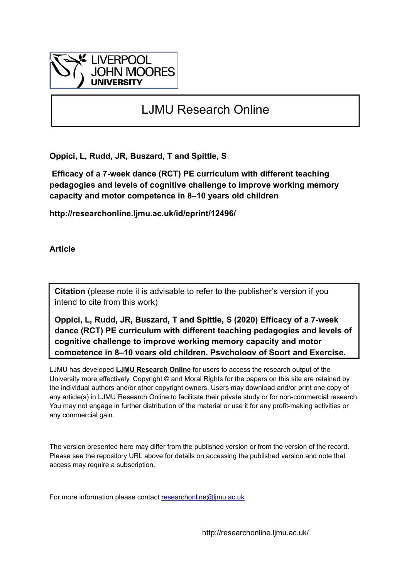

# LJMU Research Online

**Oppici, L, Rudd, JR, Buszard, T and Spittle, S**

 **Efficacy of a 7-week dance (RCT) PE curriculum with different teaching pedagogies and levels of cognitive challenge to improve working memory capacity and motor competence in 8–10 years old children**

**http://researchonline.ljmu.ac.uk/id/eprint/12496/**

**Article**

**Citation** (please note it is advisable to refer to the publisher's version if you intend to cite from this work)

**Oppici, L, Rudd, JR, Buszard, T and Spittle, S (2020) Efficacy of a 7-week dance (RCT) PE curriculum with different teaching pedagogies and levels of cognitive challenge to improve working memory capacity and motor competence in 8–10 years old children. Psychology of Sport and Exercise.** 

LJMU has developed **[LJMU Research Online](http://researchonline.ljmu.ac.uk/)** for users to access the research output of the University more effectively. Copyright © and Moral Rights for the papers on this site are retained by the individual authors and/or other copyright owners. Users may download and/or print one copy of any article(s) in LJMU Research Online to facilitate their private study or for non-commercial research. You may not engage in further distribution of the material or use it for any profit-making activities or any commercial gain.

The version presented here may differ from the published version or from the version of the record. Please see the repository URL above for details on accessing the published version and note that access may require a subscription.

For more information please contact researchonline@limu.ac.uk

http://researchonline.ljmu.ac.uk/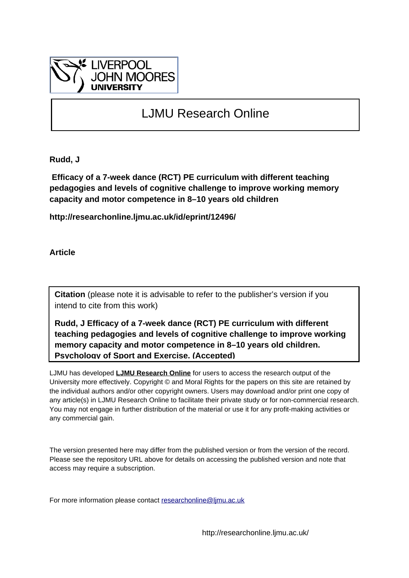

# LJMU Research Online

**Rudd, J**

 **Efficacy of a 7-week dance (RCT) PE curriculum with different teaching pedagogies and levels of cognitive challenge to improve working memory capacity and motor competence in 8–10 years old children**

**http://researchonline.ljmu.ac.uk/id/eprint/12496/**

**Article**

**Citation** (please note it is advisable to refer to the publisher's version if you intend to cite from this work)

**Rudd, J Efficacy of a 7-week dance (RCT) PE curriculum with different teaching pedagogies and levels of cognitive challenge to improve working memory capacity and motor competence in 8–10 years old children. Psychology of Sport and Exercise. (Accepted)** 

LJMU has developed **[LJMU Research Online](http://researchonline.ljmu.ac.uk/)** for users to access the research output of the University more effectively. Copyright © and Moral Rights for the papers on this site are retained by the individual authors and/or other copyright owners. Users may download and/or print one copy of any article(s) in LJMU Research Online to facilitate their private study or for non-commercial research. You may not engage in further distribution of the material or use it for any profit-making activities or any commercial gain.

The version presented here may differ from the published version or from the version of the record. Please see the repository URL above for details on accessing the published version and note that access may require a subscription.

For more information please contact [researchonline@ljmu.ac.uk](mailto:researchonline@ljmu.ac.uk)

http://researchonline.ljmu.ac.uk/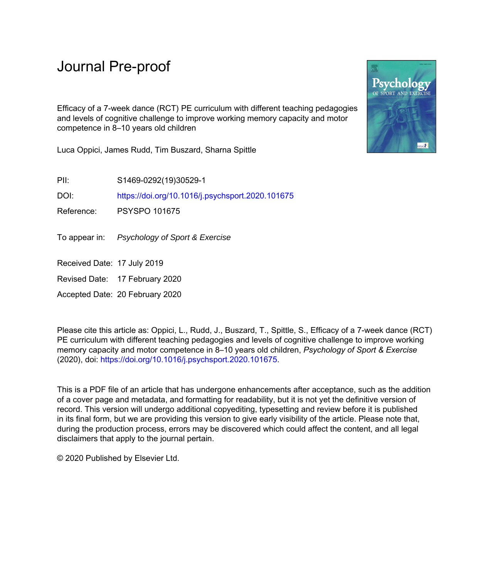# Journal Pre-proof

Efficacy of a 7-week dance (RCT) PE curriculum with different teaching pedagogies and levels of cognitive challenge to improve working memory capacity and motor competence in 8–10 years old children

Luca Oppici, James Rudd, Tim Buszard, Sharna Spittle

PII: S1469-0292(19)30529-1

DOI: <https://doi.org/10.1016/j.psychsport.2020.101675>

Reference: PSYSPO 101675

To appear in: Psychology of Sport & Exercise

Received Date: 17 July 2019

Revised Date: 17 February 2020

Accepted Date: 20 February 2020

Please cite this article as: Oppici, L., Rudd, J., Buszard, T., Spittle, S., Efficacy of a 7-week dance (RCT) PE curriculum with different teaching pedagogies and levels of cognitive challenge to improve working memory capacity and motor competence in 8–10 years old children, *Psychology of Sport & Exercise* (2020), doi: [https://doi.org/10.1016/j.psychsport.2020.101675.](https://doi.org/10.1016/j.psychsport.2020.101675)

This is a PDF file of an article that has undergone enhancements after acceptance, such as the addition of a cover page and metadata, and formatting for readability, but it is not yet the definitive version of record. This version will undergo additional copyediting, typesetting and review before it is published in its final form, but we are providing this version to give early visibility of the article. Please note that, during the production process, errors may be discovered which could affect the content, and all legal disclaimers that apply to the journal pertain.

© 2020 Published by Elsevier Ltd.

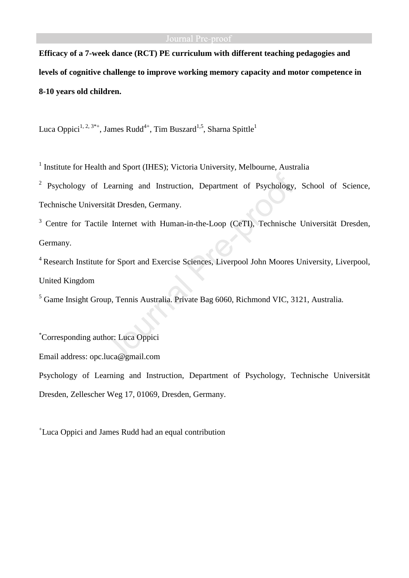**Efficacy of a 7-week dance (RCT) PE curriculum with different teaching pedagogies and levels of cognitive challenge to improve working memory capacity and motor competence in 8-10 years old children.** 

Luca Oppici<sup>1, 2, 3\*+</sup>, James Rudd<sup>4+</sup>, Tim Buszard<sup>1,5</sup>, Sharna Spittle<sup>1</sup>

<sup>1</sup> Institute for Health and Sport (IHES); Victoria University, Melbourne, Australia

<sup>2</sup> Psychology of Learning and Instruction, Department of Psychology, School of Science, Technische Universität Dresden, Germany.

<sup>3</sup> Centre for Tactile Internet with Human-in-the-Loop (CeTI), Technische Universität Dresden, Germany.

<sup>4</sup> Research Institute for Sport and Exercise Sciences, Liverpool John Moores University, Liverpool, United Kingdom

<sup>5</sup> Game Insight Group, Tennis Australia. Private Bag 6060, Richmond VIC, 3121, Australia.

\*Corresponding author: Luca Oppici Email address: opc.luca@gmail.com Psychology of Learning and Instruction, Department of Psychology, Technische Universität Dresden, Zellescher Weg 17, 01069, Dresden, Germany.

+ Luca Oppici and James Rudd had an equal contribution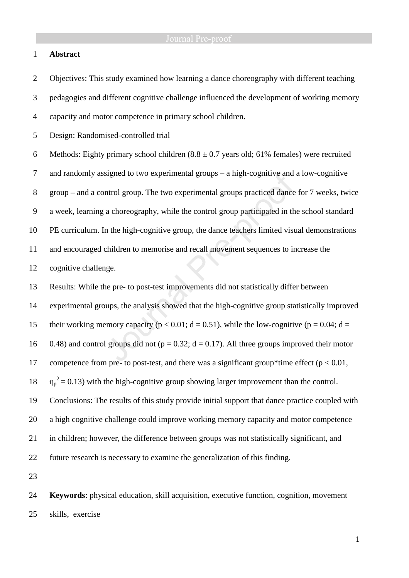# 1 **Abstract**

2 Objectives: This study examined how learning a dance choreography with different teaching

3 pedagogies and different cognitive challenge influenced the development of working memory

4 capacity and motor competence in primary school children.

5 Design: Randomised-controlled trial

6 Methods: Eighty primary school children  $(8.8 \pm 0.7)$  years old; 61% females) were recruited 7 and randomly assigned to two experimental groups – a high-cognitive and a low-cognitive 8 group – and a control group. The two experimental groups practiced dance for 7 weeks, twice 9 a week, learning a choreography, while the control group participated in the school standard 10 PE curriculum. In the high-cognitive group, the dance teachers limited visual demonstrations 11 and encouraged children to memorise and recall movement sequences to increase the 12 cognitive challenge.

13 Results: While the pre- to post-test improvements did not statistically differ between 14 experimental groups, the analysis showed that the high-cognitive group statistically improved 15 their working memory capacity ( $p < 0.01$ ;  $d = 0.51$ ), while the low-cognitive ( $p = 0.04$ ;  $d =$ 16 0.48) and control groups did not ( $p = 0.32$ ;  $d = 0.17$ ). All three groups improved their motor 17 competence from pre- to post-test, and there was a significant group\*time effect ( $p < 0.01$ ,  $18 \eta_p^2 = 0.13$ ) with the high-cognitive group showing larger improvement than the control. 19 Conclusions: The results of this study provide initial support that dance practice coupled with 20 a high cognitive challenge could improve working memory capacity and motor competence 21 in children; however, the difference between groups was not statistically significant, and 22 future research is necessary to examine the generalization of this finding.

23

24 **Keywords**: physical education, skill acquisition, executive function, cognition, movement 25 skills, exercise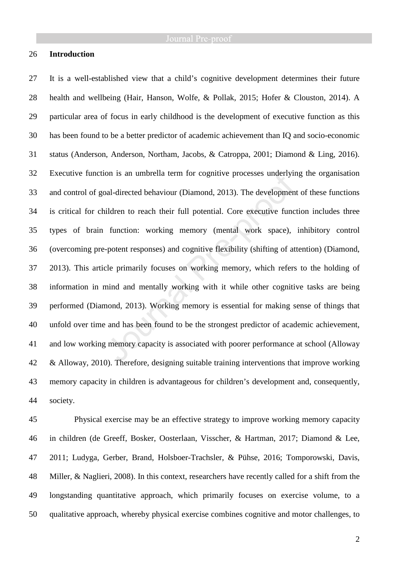# 26 **Introduction**

27 It is a well-established view that a child's cognitive development determines their future 28 health and wellbeing (Hair, Hanson, Wolfe, & Pollak, 2015; Hofer & Clouston, 2014). A 29 particular area of focus in early childhood is the development of executive function as this 30 has been found to be a better predictor of academic achievement than IQ and socio-economic 31 status (Anderson, Anderson, Northam, Jacobs, & Catroppa, 2001; Diamond & Ling, 2016). 32 Executive function is an umbrella term for cognitive processes underlying the organisation 33 and control of goal-directed behaviour (Diamond, 2013). The development of these functions 34 is critical for children to reach their full potential. Core executive function includes three 35 types of brain function: working memory (mental work space), inhibitory control 36 (overcoming pre-potent responses) and cognitive flexibility (shifting of attention) (Diamond, 37 2013). This article primarily focuses on working memory, which refers to the holding of 38 information in mind and mentally working with it while other cognitive tasks are being 39 performed (Diamond, 2013). Working memory is essential for making sense of things that 40 unfold over time and has been found to be the strongest predictor of academic achievement, 41 and low working memory capacity is associated with poorer performance at school (Alloway 42 & Alloway, 2010). Therefore, designing suitable training interventions that improve working 43 memory capacity in children is advantageous for children's development and, consequently, 44 society.

45 Physical exercise may be an effective strategy to improve working memory capacity 46 in children (de Greeff, Bosker, Oosterlaan, Visscher, & Hartman, 2017; Diamond & Lee, 47 2011; Ludyga, Gerber, Brand, Holsboer-Trachsler, & Pühse, 2016; Tomporowski, Davis, 48 Miller, & Naglieri, 2008). In this context, researchers have recently called for a shift from the 49 longstanding quantitative approach, which primarily focuses on exercise volume, to a 50 qualitative approach, whereby physical exercise combines cognitive and motor challenges, to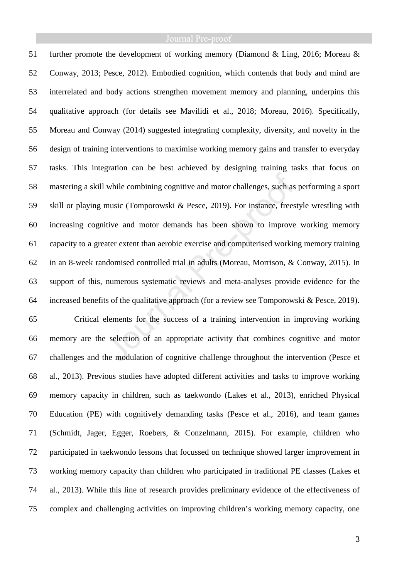51 further promote the development of working memory (Diamond & Ling, 2016; Moreau & 52 Conway, 2013; Pesce, 2012). Embodied cognition, which contends that body and mind are 53 interrelated and body actions strengthen movement memory and planning, underpins this 54 qualitative approach (for details see Mavilidi et al., 2018; Moreau, 2016). Specifically, 55 Moreau and Conway (2014) suggested integrating complexity, diversity, and novelty in the 56 design of training interventions to maximise working memory gains and transfer to everyday 57 tasks. This integration can be best achieved by designing training tasks that focus on 58 mastering a skill while combining cognitive and motor challenges, such as performing a sport 59 skill or playing music (Tomporowski & Pesce, 2019). For instance, freestyle wrestling with 60 increasing cognitive and motor demands has been shown to improve working memory 61 capacity to a greater extent than aerobic exercise and computerised working memory training 62 in an 8-week randomised controlled trial in adults (Moreau, Morrison, & Conway, 2015). In 63 support of this, numerous systematic reviews and meta-analyses provide evidence for the 64 increased benefits of the qualitative approach (for a review see Tomporowski & Pesce, 2019). 65 Critical elements for the success of a training intervention in improving working 66 memory are the selection of an appropriate activity that combines cognitive and motor 67 challenges and the modulation of cognitive challenge throughout the intervention (Pesce et 68 al., 2013). Previous studies have adopted different activities and tasks to improve working 69 memory capacity in children, such as taekwondo (Lakes et al., 2013), enriched Physical 70 Education (PE) with cognitively demanding tasks (Pesce et al., 2016), and team games 71 (Schmidt, Jager, Egger, Roebers, & Conzelmann, 2015). For example, children who 72 participated in taekwondo lessons that focussed on technique showed larger improvement in 73 working memory capacity than children who participated in traditional PE classes (Lakes et 74 al., 2013). While this line of research provides preliminary evidence of the effectiveness of 75 complex and challenging activities on improving children's working memory capacity, one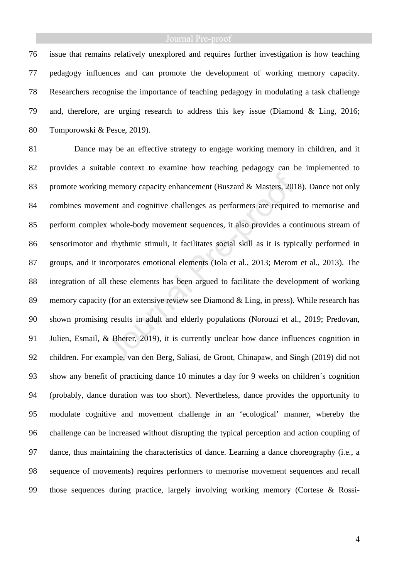76 issue that remains relatively unexplored and requires further investigation is how teaching 77 pedagogy influences and can promote the development of working memory capacity. 78 Researchers recognise the importance of teaching pedagogy in modulating a task challenge 79 and, therefore, are urging research to address this key issue (Diamond & Ling, 2016; 80 Tomporowski & Pesce, 2019).

81 Dance may be an effective strategy to engage working memory in children, and it 82 provides a suitable context to examine how teaching pedagogy can be implemented to 83 promote working memory capacity enhancement (Buszard & Masters, 2018). Dance not only 84 combines movement and cognitive challenges as performers are required to memorise and 85 perform complex whole-body movement sequences, it also provides a continuous stream of 86 sensorimotor and rhythmic stimuli, it facilitates social skill as it is typically performed in 87 groups, and it incorporates emotional elements (Jola et al., 2013; Merom et al., 2013). The 88 integration of all these elements has been argued to facilitate the development of working 89 memory capacity (for an extensive review see Diamond & Ling, in press). While research has 90 shown promising results in adult and elderly populations (Norouzi et al., 2019; Predovan, 91 Julien, Esmail, & Bherer, 2019), it is currently unclear how dance influences cognition in 92 children. For example, van den Berg, Saliasi, de Groot, Chinapaw, and Singh (2019) did not 93 show any benefit of practicing dance 10 minutes a day for 9 weeks on children´s cognition 94 (probably, dance duration was too short). Nevertheless, dance provides the opportunity to 95 modulate cognitive and movement challenge in an 'ecological' manner, whereby the 96 challenge can be increased without disrupting the typical perception and action coupling of 97 dance, thus maintaining the characteristics of dance. Learning a dance choreography (i.e., a 98 sequence of movements) requires performers to memorise movement sequences and recall 99 those sequences during practice, largely involving working memory (Cortese & Rossi-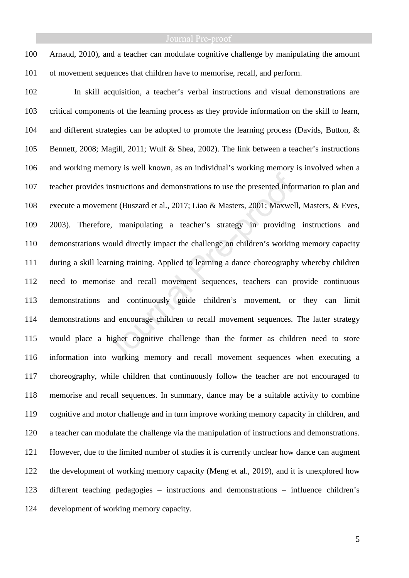100 Arnaud, 2010), and a teacher can modulate cognitive challenge by manipulating the amount 101 of movement sequences that children have to memorise, recall, and perform.

102 In skill acquisition, a teacher's verbal instructions and visual demonstrations are 103 critical components of the learning process as they provide information on the skill to learn, 104 and different strategies can be adopted to promote the learning process (Davids, Button, & 105 Bennett, 2008; Magill, 2011; Wulf & Shea, 2002). The link between a teacher's instructions 106 and working memory is well known, as an individual's working memory is involved when a 107 teacher provides instructions and demonstrations to use the presented information to plan and 108 execute a movement (Buszard et al., 2017; Liao & Masters, 2001; Maxwell, Masters, & Eves, 109 2003). Therefore, manipulating a teacher's strategy in providing instructions and 110 demonstrations would directly impact the challenge on children's working memory capacity 111 during a skill learning training. Applied to learning a dance choreography whereby children 112 need to memorise and recall movement sequences, teachers can provide continuous 113 demonstrations and continuously guide children's movement, or they can limit 114 demonstrations and encourage children to recall movement sequences. The latter strategy 115 would place a higher cognitive challenge than the former as children need to store 116 information into working memory and recall movement sequences when executing a 117 choreography, while children that continuously follow the teacher are not encouraged to 118 memorise and recall sequences. In summary, dance may be a suitable activity to combine 119 cognitive and motor challenge and in turn improve working memory capacity in children, and 120 a teacher can modulate the challenge via the manipulation of instructions and demonstrations. 121 However, due to the limited number of studies it is currently unclear how dance can augment 122 the development of working memory capacity (Meng et al., 2019), and it is unexplored how 123 different teaching pedagogies – instructions and demonstrations – influence children's 124 development of working memory capacity.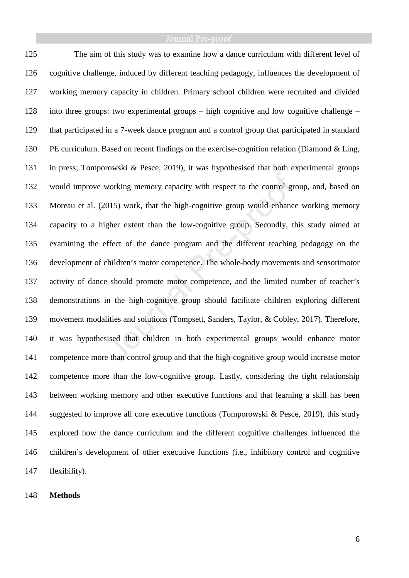125 The aim of this study was to examine how a dance curriculum with different level of 126 cognitive challenge, induced by different teaching pedagogy, influences the development of 127 working memory capacity in children. Primary school children were recruited and divided 128 into three groups: two experimental groups – high cognitive and low cognitive challenge – 129 that participated in a 7-week dance program and a control group that participated in standard 130 PE curriculum. Based on recent findings on the exercise-cognition relation (Diamond & Ling, 131 in press; Tomporowski & Pesce, 2019), it was hypothesised that both experimental groups 132 would improve working memory capacity with respect to the control group, and, based on 133 Moreau et al. (2015) work, that the high-cognitive group would enhance working memory 134 capacity to a higher extent than the low-cognitive group. Secondly, this study aimed at 135 examining the effect of the dance program and the different teaching pedagogy on the 136 development of children's motor competence. The whole-body movements and sensorimotor 137 activity of dance should promote motor competence, and the limited number of teacher's 138 demonstrations in the high-cognitive group should facilitate children exploring different 139 movement modalities and solutions (Tompsett, Sanders, Taylor, & Cobley, 2017). Therefore, 140 it was hypothesised that children in both experimental groups would enhance motor 141 competence more than control group and that the high-cognitive group would increase motor 142 competence more than the low-cognitive group. Lastly, considering the tight relationship 143 between working memory and other executive functions and that learning a skill has been 144 suggested to improve all core executive functions (Tomporowski & Pesce, 2019), this study 145 explored how the dance curriculum and the different cognitive challenges influenced the 146 children's development of other executive functions (i.e., inhibitory control and cognitive 147 flexibility).

# 148 **Methods**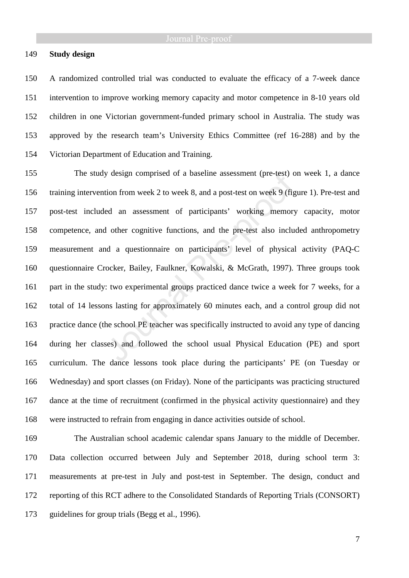### 149 **Study design**

150 A randomized controlled trial was conducted to evaluate the efficacy of a 7-week dance 151 intervention to improve working memory capacity and motor competence in 8-10 years old 152 children in one Victorian government-funded primary school in Australia. The study was 153 approved by the research team's University Ethics Committee (ref 16-288) and by the 154 Victorian Department of Education and Training.

155 The study design comprised of a baseline assessment (pre-test) on week 1, a dance 156 training intervention from week 2 to week 8, and a post-test on week 9 (figure 1). Pre-test and 157 post-test included an assessment of participants' working memory capacity, motor 158 competence, and other cognitive functions, and the pre-test also included anthropometry 159 measurement and a questionnaire on participants' level of physical activity (PAQ-C 160 questionnaire Crocker, Bailey, Faulkner, Kowalski, & McGrath, 1997). Three groups took 161 part in the study: two experimental groups practiced dance twice a week for 7 weeks, for a 162 total of 14 lessons lasting for approximately 60 minutes each, and a control group did not 163 practice dance (the school PE teacher was specifically instructed to avoid any type of dancing 164 during her classes) and followed the school usual Physical Education (PE) and sport 165 curriculum. The dance lessons took place during the participants' PE (on Tuesday or 166 Wednesday) and sport classes (on Friday). None of the participants was practicing structured 167 dance at the time of recruitment (confirmed in the physical activity questionnaire) and they 168 were instructed to refrain from engaging in dance activities outside of school.

169 The Australian school academic calendar spans January to the middle of December. 170 Data collection occurred between July and September 2018, during school term 3: 171 measurements at pre-test in July and post-test in September. The design, conduct and 172 reporting of this RCT adhere to the Consolidated Standards of Reporting Trials (CONSORT) 173 guidelines for group trials (Begg et al., 1996).

7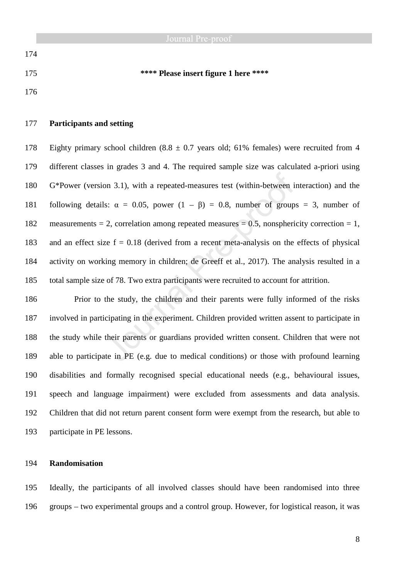175 **\*\*\*\* Please insert figure 1 here \*\*\*\*** 

176

174

# 177 **Participants and setting**

178 Eighty primary school children  $(8.8 \pm 0.7)$  years old; 61% females) were recruited from 4 179 different classes in grades 3 and 4. The required sample size was calculated a-priori using 180 G\*Power (version 3.1), with a repeated-measures test (within-between interaction) and the 181 following details:  $\alpha = 0.05$ , power  $(1 - \beta) = 0.8$ , number of groups = 3, number of 182 measurements = 2, correlation among repeated measures =  $0.5$ , nonsphericity correction = 1, 183 and an effect size  $f = 0.18$  (derived from a recent meta-analysis on the effects of physical 184 activity on working memory in children; de Greeff et al., 2017). The analysis resulted in a 185 total sample size of 78. Two extra participants were recruited to account for attrition.

186 Prior to the study, the children and their parents were fully informed of the risks 187 involved in participating in the experiment. Children provided written assent to participate in 188 the study while their parents or guardians provided written consent. Children that were not 189 able to participate in PE (e.g. due to medical conditions) or those with profound learning 190 disabilities and formally recognised special educational needs (e.g., behavioural issues, 191 speech and language impairment) were excluded from assessments and data analysis. 192 Children that did not return parent consent form were exempt from the research, but able to 193 participate in PE lessons.

# 194 **Randomisation**

195 Ideally, the participants of all involved classes should have been randomised into three 196 groups – two experimental groups and a control group. However, for logistical reason, it was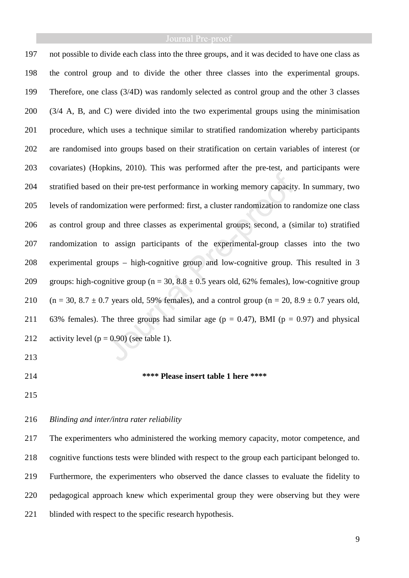197 not possible to divide each class into the three groups, and it was decided to have one class as 198 the control group and to divide the other three classes into the experimental groups. 199 Therefore, one class (3/4D) was randomly selected as control group and the other 3 classes 200 (3/4 A, B, and C) were divided into the two experimental groups using the minimisation 201 procedure, which uses a technique similar to stratified randomization whereby participants 202 are randomised into groups based on their stratification on certain variables of interest (or 203 covariates) (Hopkins, 2010). This was performed after the pre-test, and participants were 204 stratified based on their pre-test performance in working memory capacity. In summary, two 205 levels of randomization were performed: first, a cluster randomization to randomize one class 206 as control group and three classes as experimental groups; second, a (similar to) stratified 207 randomization to assign participants of the experimental-group classes into the two 208 experimental groups – high-cognitive group and low-cognitive group. This resulted in 3 209 groups: high-cognitive group ( $n = 30$ ,  $8.8 \pm 0.5$  years old, 62% females), low-cognitive group 210 (n = 30, 8.7  $\pm$  0.7 years old, 59% females), and a control group (n = 20, 8.9  $\pm$  0.7 years old, 211 63% females). The three groups had similar age ( $p = 0.47$ ), BMI ( $p = 0.97$ ) and physical 212 activity level  $(p = 0.90)$  (see table 1).

- 213
- 

### 214 **\*\*\*\* Please insert table 1 here \*\*\*\***

215

# 216 *Blinding and inter/intra rater reliability*

217 The experimenters who administered the working memory capacity, motor competence, and 218 cognitive functions tests were blinded with respect to the group each participant belonged to. 219 Furthermore, the experimenters who observed the dance classes to evaluate the fidelity to 220 pedagogical approach knew which experimental group they were observing but they were 221 blinded with respect to the specific research hypothesis.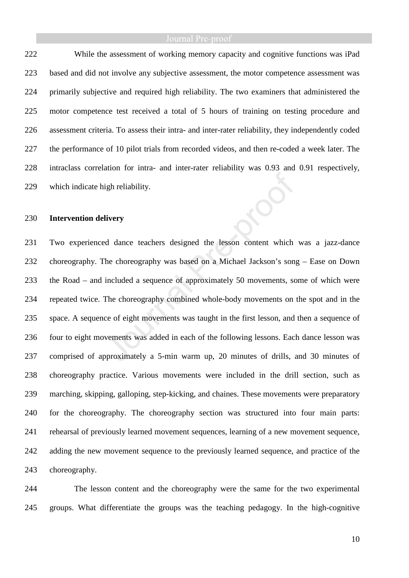# Journal Pre-proof

222 While the assessment of working memory capacity and cognitive functions was iPad 223 based and did not involve any subjective assessment, the motor competence assessment was 224 primarily subjective and required high reliability. The two examiners that administered the 225 motor competence test received a total of 5 hours of training on testing procedure and 226 assessment criteria. To assess their intra- and inter-rater reliability, they independently coded 227 the performance of 10 pilot trials from recorded videos, and then re-coded a week later. The 228 intraclass correlation for intra- and inter-rater reliability was 0.93 and 0.91 respectively, 229 which indicate high reliability.

### 230 **Intervention delivery**

231 Two experienced dance teachers designed the lesson content which was a jazz-dance 232 choreography. The choreography was based on a Michael Jackson's song – Ease on Down 233 the Road – and included a sequence of approximately 50 movements, some of which were 234 repeated twice. The choreography combined whole-body movements on the spot and in the 235 space. A sequence of eight movements was taught in the first lesson, and then a sequence of 236 four to eight movements was added in each of the following lessons. Each dance lesson was 237 comprised of approximately a 5-min warm up, 20 minutes of drills, and 30 minutes of 238 choreography practice. Various movements were included in the drill section, such as 239 marching, skipping, galloping, step-kicking, and chaines. These movements were preparatory 240 for the choreography. The choreography section was structured into four main parts: 241 rehearsal of previously learned movement sequences, learning of a new movement sequence, 242 adding the new movement sequence to the previously learned sequence, and practice of the 243 choreography.

244 The lesson content and the choreography were the same for the two experimental 245 groups. What differentiate the groups was the teaching pedagogy. In the high-cognitive

10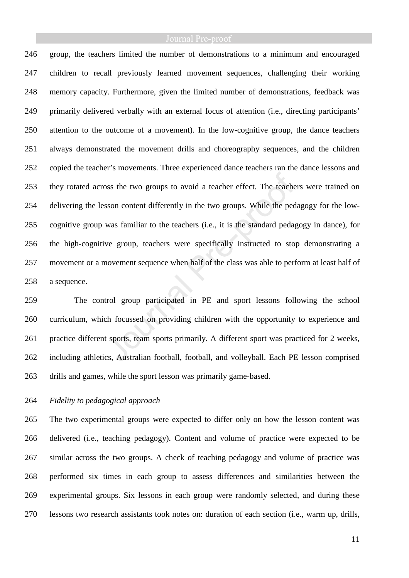246 group, the teachers limited the number of demonstrations to a minimum and encouraged 247 children to recall previously learned movement sequences, challenging their working 248 memory capacity. Furthermore, given the limited number of demonstrations, feedback was 249 primarily delivered verbally with an external focus of attention (i.e., directing participants' 250 attention to the outcome of a movement). In the low-cognitive group, the dance teachers 251 always demonstrated the movement drills and choreography sequences, and the children 252 copied the teacher's movements. Three experienced dance teachers ran the dance lessons and 253 they rotated across the two groups to avoid a teacher effect. The teachers were trained on 254 delivering the lesson content differently in the two groups. While the pedagogy for the low-255 cognitive group was familiar to the teachers (i.e., it is the standard pedagogy in dance), for 256 the high-cognitive group, teachers were specifically instructed to stop demonstrating a 257 movement or a movement sequence when half of the class was able to perform at least half of 258 a sequence.

259 The control group participated in PE and sport lessons following the school 260 curriculum, which focussed on providing children with the opportunity to experience and 261 practice different sports, team sports primarily. A different sport was practiced for 2 weeks, 262 including athletics, Australian football, football, and volleyball. Each PE lesson comprised 263 drills and games, while the sport lesson was primarily game-based.

## 264 *Fidelity to pedagogical approach*

265 The two experimental groups were expected to differ only on how the lesson content was 266 delivered (i.e., teaching pedagogy). Content and volume of practice were expected to be 267 similar across the two groups. A check of teaching pedagogy and volume of practice was 268 performed six times in each group to assess differences and similarities between the 269 experimental groups. Six lessons in each group were randomly selected, and during these 270 lessons two research assistants took notes on: duration of each section (i.e., warm up, drills,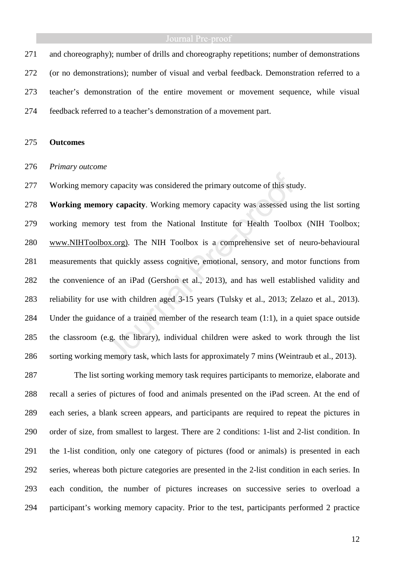# Journal Pre-proof

271 and choreography); number of drills and choreography repetitions; number of demonstrations 272 (or no demonstrations); number of visual and verbal feedback. Demonstration referred to a 273 teacher's demonstration of the entire movement or movement sequence, while visual 274 feedback referred to a teacher's demonstration of a movement part.

### 275 **Outcomes**

### 276 *Primary outcome*

277 Working memory capacity was considered the primary outcome of this study.

278 **Working memory capacity**. Working memory capacity was assessed using the list sorting 279 working memory test from the National Institute for Health Toolbox (NIH Toolbox; 280 www.NIHToolbox.org). The NIH Toolbox is a comprehensive set of neuro-behavioural 281 measurements that quickly assess cognitive, emotional, sensory, and motor functions from 282 the convenience of an iPad (Gershon et al., 2013), and has well established validity and 283 reliability for use with children aged 3-15 years (Tulsky et al., 2013; Zelazo et al., 2013). 284 Under the guidance of a trained member of the research team (1:1), in a quiet space outside 285 the classroom (e.g. the library), individual children were asked to work through the list 286 sorting working memory task, which lasts for approximately 7 mins (Weintraub et al., 2013).

287 The list sorting working memory task requires participants to memorize, elaborate and 288 recall a series of pictures of food and animals presented on the iPad screen. At the end of 289 each series, a blank screen appears, and participants are required to repeat the pictures in 290 order of size, from smallest to largest. There are 2 conditions: 1-list and 2-list condition. In 291 the 1-list condition, only one category of pictures (food or animals) is presented in each 292 series, whereas both picture categories are presented in the 2-list condition in each series. In 293 each condition, the number of pictures increases on successive series to overload a 294 participant's working memory capacity. Prior to the test, participants performed 2 practice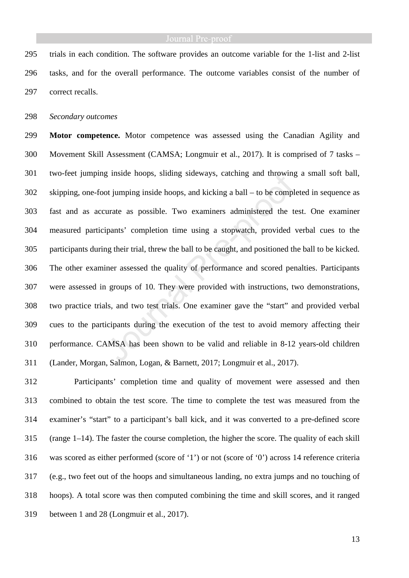295 trials in each condition. The software provides an outcome variable for the 1-list and 2-list 296 tasks, and for the overall performance. The outcome variables consist of the number of 297 correct recalls.

298 *Secondary outcomes* 

299 **Motor competence.** Motor competence was assessed using the Canadian Agility and 300 Movement Skill Assessment (CAMSA; Longmuir et al., 2017). It is comprised of 7 tasks – 301 two-feet jumping inside hoops, sliding sideways, catching and throwing a small soft ball, 302 skipping, one-foot jumping inside hoops, and kicking a ball – to be completed in sequence as 303 fast and as accurate as possible. Two examiners administered the test. One examiner 304 measured participants' completion time using a stopwatch, provided verbal cues to the 305 participants during their trial, threw the ball to be caught, and positioned the ball to be kicked. 306 The other examiner assessed the quality of performance and scored penalties. Participants 307 were assessed in groups of 10. They were provided with instructions, two demonstrations, 308 two practice trials, and two test trials. One examiner gave the "start" and provided verbal 309 cues to the participants during the execution of the test to avoid memory affecting their 310 performance. CAMSA has been shown to be valid and reliable in 8-12 years-old children 311 (Lander, Morgan, Salmon, Logan, & Barnett, 2017; Longmuir et al., 2017).

312 Participants' completion time and quality of movement were assessed and then 313 combined to obtain the test score. The time to complete the test was measured from the 314 examiner's "start" to a participant's ball kick, and it was converted to a pre-defined score 315 (range 1–14). The faster the course completion, the higher the score. The quality of each skill 316 was scored as either performed (score of '1') or not (score of '0') across 14 reference criteria 317 (e.g., two feet out of the hoops and simultaneous landing, no extra jumps and no touching of 318 hoops). A total score was then computed combining the time and skill scores, and it ranged 319 between 1 and 28 (Longmuir et al., 2017).

13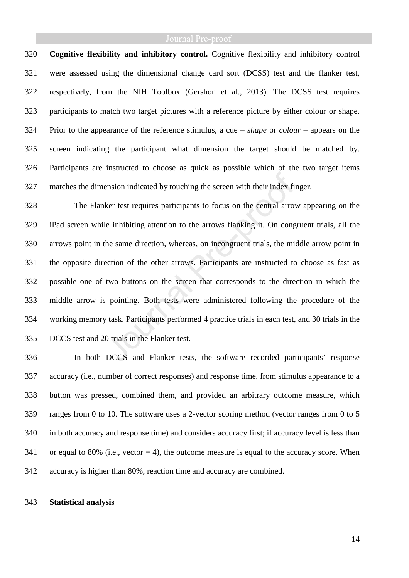# Journal Pre-proof

320 **Cognitive flexibility and inhibitory control.** Cognitive flexibility and inhibitory control 321 were assessed using the dimensional change card sort (DCSS) test and the flanker test, 322 respectively, from the NIH Toolbox (Gershon et al., 2013). The DCSS test requires 323 participants to match two target pictures with a reference picture by either colour or shape. 324 Prior to the appearance of the reference stimulus, a cue – *shape* or *colour* – appears on the 325 screen indicating the participant what dimension the target should be matched by. 326 Participants are instructed to choose as quick as possible which of the two target items 327 matches the dimension indicated by touching the screen with their index finger.

328 The Flanker test requires participants to focus on the central arrow appearing on the 329 iPad screen while inhibiting attention to the arrows flanking it. On congruent trials, all the 330 arrows point in the same direction, whereas, on incongruent trials, the middle arrow point in 331 the opposite direction of the other arrows. Participants are instructed to choose as fast as 332 possible one of two buttons on the screen that corresponds to the direction in which the 333 middle arrow is pointing. Both tests were administered following the procedure of the 334 working memory task. Participants performed 4 practice trials in each test, and 30 trials in the 335 DCCS test and 20 trials in the Flanker test.

336 In both DCCS and Flanker tests, the software recorded participants' response 337 accuracy (i.e., number of correct responses) and response time, from stimulus appearance to a 338 button was pressed, combined them, and provided an arbitrary outcome measure, which 339 ranges from 0 to 10. The software uses a 2-vector scoring method (vector ranges from 0 to 5 340 in both accuracy and response time) and considers accuracy first; if accuracy level is less than 341 or equal to 80% (i.e., vector  $= 4$ ), the outcome measure is equal to the accuracy score. When 342 accuracy is higher than 80%, reaction time and accuracy are combined.

# 343 **Statistical analysis**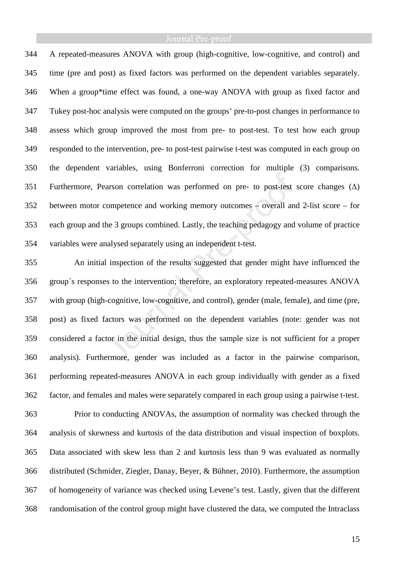# Journal Pre-proof

344 A repeated-measures ANOVA with group (high-cognitive, low-cognitive, and control) and 345 time (pre and post) as fixed factors was performed on the dependent variables separately. 346 When a group\*time effect was found, a one-way ANOVA with group as fixed factor and 347 Tukey post-hoc analysis were computed on the groups' pre-to-post changes in performance to 348 assess which group improved the most from pre- to post-test. To test how each group 349 responded to the intervention, pre- to post-test pairwise t-test was computed in each group on 350 the dependent variables, using Bonferroni correction for multiple (3) comparisons. 351 Furthermore, Pearson correlation was performed on pre- to post-test score changes (∆) 352 between motor competence and working memory outcomes – overall and 2-list score – for 353 each group and the 3 groups combined. Lastly, the teaching pedagogy and volume of practice 354 variables were analysed separately using an independent t-test.

355 An initial inspection of the results suggested that gender might have influenced the 356 group´s responses to the intervention; therefore, an exploratory repeated-measures ANOVA 357 with group (high-cognitive, low-cognitive, and control), gender (male, female), and time (pre, 358 post) as fixed factors was performed on the dependent variables (note: gender was not 359 considered a factor in the initial design, thus the sample size is not sufficient for a proper 360 analysis). Furthermore, gender was included as a factor in the pairwise comparison, 361 performing repeated-measures ANOVA in each group individually with gender as a fixed 362 factor, and females and males were separately compared in each group using a pairwise t-test.

363 Prior to conducting ANOVAs, the assumption of normality was checked through the 364 analysis of skewness and kurtosis of the data distribution and visual inspection of boxplots. 365 Data associated with skew less than 2 and kurtosis less than 9 was evaluated as normally 366 distributed (Schmider, Ziegler, Danay, Beyer, & Bühner, 2010). Furthermore, the assumption 367 of homogeneity of variance was checked using Levene's test. Lastly, given that the different 368 randomisation of the control group might have clustered the data, we computed the Intraclass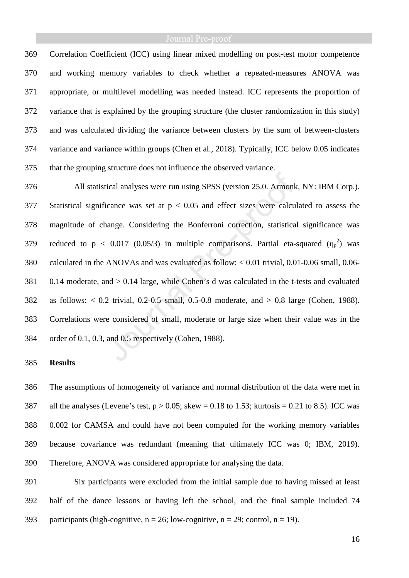369 Correlation Coefficient (ICC) using linear mixed modelling on post-test motor competence 370 and working memory variables to check whether a repeated-measures ANOVA was 371 appropriate, or multilevel modelling was needed instead. ICC represents the proportion of 372 variance that is explained by the grouping structure (the cluster randomization in this study) 373 and was calculated dividing the variance between clusters by the sum of between-clusters 374 variance and variance within groups (Chen et al., 2018). Typically, ICC below 0.05 indicates 375 that the grouping structure does not influence the observed variance.

376 All statistical analyses were run using SPSS (version 25.0. Armonk, NY: IBM Corp.). 377 Statistical significance was set at p < 0.05 and effect sizes were calculated to assess the 378 magnitude of change. Considering the Bonferroni correction, statistical significance was 379 reduced to  $p < 0.017$  (0.05/3) in multiple comparisons. Partial eta-squared  $(\eta_p^2)$  was 380 calculated in the ANOVAs and was evaluated as follow: < 0.01 trivial, 0.01-0.06 small, 0.06- 381 0.14 moderate, and > 0.14 large, while Cohen's d was calculated in the t-tests and evaluated 382 as follows: < 0.2 trivial, 0.2-0.5 small, 0.5-0.8 moderate, and > 0.8 large (Cohen, 1988). 383 Correlations were considered of small, moderate or large size when their value was in the 384 order of 0.1, 0.3, and 0.5 respectively (Cohen, 1988).

### 385 **Results**

386 The assumptions of homogeneity of variance and normal distribution of the data were met in 387 all the analyses (Levene's test,  $p > 0.05$ ; skew = 0.18 to 1.53; kurtosis = 0.21 to 8.5). ICC was 388 0.002 for CAMSA and could have not been computed for the working memory variables 389 because covariance was redundant (meaning that ultimately ICC was 0; IBM, 2019). 390 Therefore, ANOVA was considered appropriate for analysing the data.

391 Six participants were excluded from the initial sample due to having missed at least 392 half of the dance lessons or having left the school, and the final sample included 74 393 participants (high-cognitive,  $n = 26$ ; low-cognitive,  $n = 29$ ; control,  $n = 19$ ).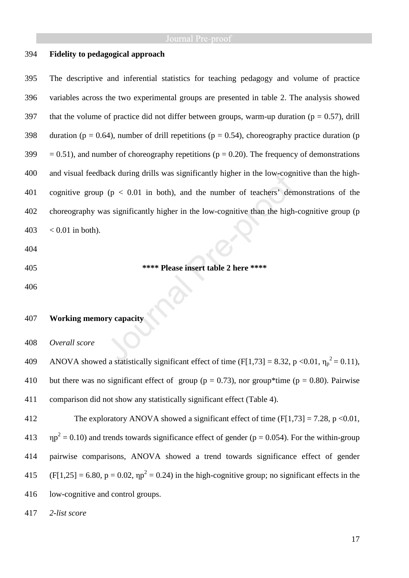# 394 **Fidelity to pedagogical approach**

395 The descriptive and inferential statistics for teaching pedagogy and volume of practice 396 variables across the two experimental groups are presented in table 2. The analysis showed 397 that the volume of practice did not differ between groups, warm-up duration ( $p = 0.57$ ), drill 398 duration (p = 0.64), number of drill repetitions (p = 0.54), choreography practice duration (p 399  $= 0.51$ ), and number of choreography repetitions ( $p = 0.20$ ). The frequency of demonstrations 400 and visual feedback during drills was significantly higher in the low-cognitive than the high-401 cognitive group ( $p < 0.01$  in both), and the number of teachers' demonstrations of the 402 choreography was significantly higher in the low-cognitive than the high-cognitive group (p  $403 \le 0.01$  in both).

- 404
- 

### 405 **\*\*\*\* Please insert table 2 here \*\*\*\***

406

# 407 **Working memory capacity**

408 *Overall score* 

ANOVA showed a statistically significant effect of time (F[1,73] = 8.32, p <0.01,  $\eta_p^2$  = 0.11), 410 but there was no significant effect of group ( $p = 0.73$ ), nor group\*time ( $p = 0.80$ ). Pairwise 411 comparison did not show any statistically significant effect (Table 4).

412 The exploratory ANOVA showed a significant effect of time  $(F[1,73] = 7.28, p \le 0.01,$  $413 \text{ } np^2 = 0.10$ ) and trends towards significance effect of gender ( $p = 0.054$ ). For the within-group 414 pairwise comparisons, ANOVA showed a trend towards significance effect of gender  $(415 \text{ (F[1,25])} = 6.80, p = 0.02, \eta p^2 = 0.24)$  in the high-cognitive group; no significant effects in the 416 low-cognitive and control groups.

417 *2-list score*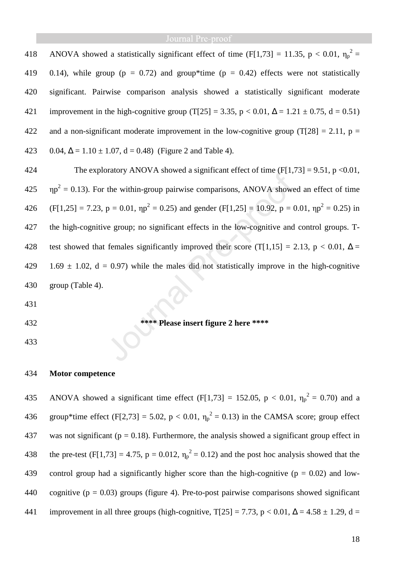418 ANOVA showed a statistically significant effect of time (F[1,73] = 11.35, p < 0.01,  $\eta_p^2$  = 419 0.14), while group ( $p = 0.72$ ) and group\*time ( $p = 0.42$ ) effects were not statistically 420 significant. Pairwise comparison analysis showed a statistically significant moderate 421 improvement in the high-cognitive group (T[25] = 3.35, p < 0.01,  $\Delta$  = 1.21  $\pm$  0.75, d = 0.51) 422 and a non-significant moderate improvement in the low-cognitive group (T[28] = 2.11,  $p =$ 423 0.04,  $\Delta = 1.10 \pm 1.07$ ,  $d = 0.48$ ) (Figure 2 and Table 4).

424 The exploratory ANOVA showed a significant effect of time  $(F[1,73] = 9.51, p < 0.01,$  $425 \text{ m}p^2 = 0.13$ ). For the within-group pairwise comparisons, ANOVA showed an effect of time 426 (F[1,25] = 7.23, p = 0.01,  $np^2 = 0.25$ ) and gender (F[1,25] = 10.92, p = 0.01,  $np^2 = 0.25$ ) in 427 the high-cognitive group; no significant effects in the low-cognitive and control groups. T-428 test showed that females significantly improved their score (T[1,15] = 2.13, p < 0.01,  $\Delta$  = 429 1.69  $\pm$  1.02, d = 0.97) while the males did not statistically improve in the high-cognitive 430 group (Table 4).

431

# 432 **\*\*\*\* Please insert figure 2 here \*\*\*\***

433

# 434 **Motor competence**

435 ANOVA showed a significant time effect (F[1,73] = 152.05, p < 0.01,  $\eta_p^2 = 0.70$ ) and a 436 group\*time effect (F[2,73] = 5.02, p < 0.01,  $\eta_p^2 = 0.13$ ) in the CAMSA score; group effect 437 was not significant ( $p = 0.18$ ). Furthermore, the analysis showed a significant group effect in 438 the pre-test (F[1,73] = 4.75, p = 0.012,  $\eta_p^2 = 0.12$ ) and the post hoc analysis showed that the 439 control group had a significantly higher score than the high-cognitive ( $p = 0.02$ ) and low-440 cognitive ( $p = 0.03$ ) groups (figure 4). Pre-to-post pairwise comparisons showed significant 441 improvement in all three groups (high-cognitive,  $T[25] = 7.73$ , p < 0.01,  $\Delta = 4.58 \pm 1.29$ , d =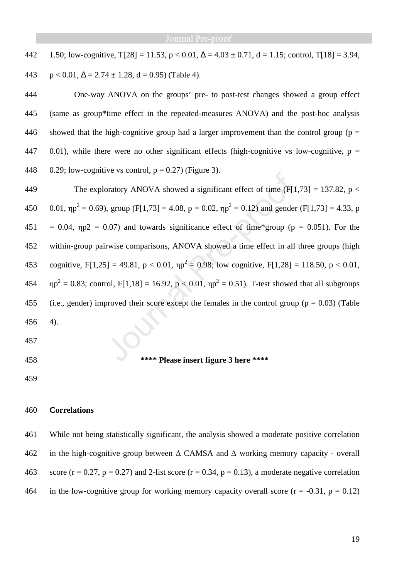442 1.50; low-cognitive, T[28] = 11.53,  $p < 0.01$ ,  $\Delta = 4.03 \pm 0.71$ , d = 1.15; control, T[18] = 3.94,

443  $p < 0.01$ ,  $\Delta = 2.74 \pm 1.28$ ,  $d = 0.95$ ) (Table 4).

444 One-way ANOVA on the groups' pre- to post-test changes showed a group effect 445 (same as group\*time effect in the repeated-measures ANOVA) and the post-hoc analysis 446 showed that the high-cognitive group had a larger improvement than the control group ( $p =$ 447 0.01), while there were no other significant effects (high-cognitive vs low-cognitive,  $p =$ 448 0.29; low-cognitive vs control,  $p = 0.27$ ) (Figure 3).

449 The exploratory ANOVA showed a significant effect of time  $(F[1,73] = 137.82, p <$ 450 0.01,  $np^2 = 0.69$ ), group (F[1,73] = 4.08, p = 0.02,  $np^2 = 0.12$ ) and gender (F[1,73] = 4.33, p 451 = 0.04,  $np2 = 0.07$ ) and towards significance effect of time\*group ( $p = 0.051$ ). For the 452 within-group pairwise comparisons, ANOVA showed a time effect in all three groups (high 453 cognitive, F[1,25] = 49.81, p < 0.01,  $np^2 = 0.98$ ; low cognitive, F[1,28] = 118.50, p < 0.01,  $454 \text{ np}^2 = 0.83$ ; control, F[1,18] = 16.92, p < 0.01,  $np^2 = 0.51$ ). T-test showed that all subgroups 455 (i.e., gender) improved their score except the females in the control group ( $p = 0.03$ ) (Table 456 4).

- 457
- 

# 458 **\*\*\*\* Please insert figure 3 here \*\*\*\***

459

# 460 **Correlations**

461 While not being statistically significant, the analysis showed a moderate positive correlation 462 in the high-cognitive group between ∆ CAMSA and ∆ working memory capacity - overall 463 score ( $r = 0.27$ ,  $p = 0.27$ ) and 2-list score ( $r = 0.34$ ,  $p = 0.13$ ), a moderate negative correlation 464 in the low-cognitive group for working memory capacity overall score  $(r = -0.31, p = 0.12)$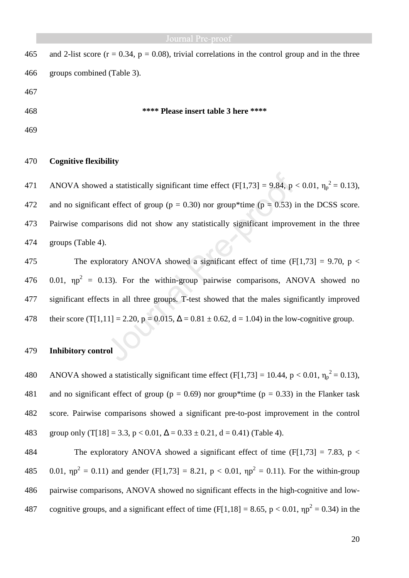| 465 | and 2-list score ( $r = 0.34$ , $p = 0.08$ ), trivial correlations in the control group and in the three |
|-----|----------------------------------------------------------------------------------------------------------|
| 466 | groups combined (Table 3).                                                                               |
| 467 |                                                                                                          |
| 468 | **** Please insert table 3 here ****                                                                     |
| 469 |                                                                                                          |

### 470 **Cognitive flexibility**

471 ANOVA showed a statistically significant time effect (F[1,73] = 9.84, p < 0.01,  $\eta_p^2 = 0.13$ ), 472 and no significant effect of group ( $p = 0.30$ ) nor group\*time ( $p = 0.53$ ) in the DCSS score. 473 Pairwise comparisons did not show any statistically significant improvement in the three 474 groups (Table 4).

475 The exploratory ANOVA showed a significant effect of time  $(F[1,73] = 9.70, p <$ 476 0.01,  $np^2 = 0.13$ ). For the within-group pairwise comparisons, ANOVA showed no 477 significant effects in all three groups. T-test showed that the males significantly improved 478 their score (T[1,11] = 2.20, p = 0.015,  $\Delta$  = 0.81 ± 0.62, d = 1.04) in the low-cognitive group.

# 479 **Inhibitory control**

480 ANOVA showed a statistically significant time effect (F[1,73] = 10.44, p < 0.01,  $\eta_p^2 = 0.13$ ), 481 and no significant effect of group ( $p = 0.69$ ) nor group\*time ( $p = 0.33$ ) in the Flanker task 482 score. Pairwise comparisons showed a significant pre-to-post improvement in the control 483 group only (T[18] = 3.3, p < 0.01,  $\Delta$  = 0.33 ± 0.21, d = 0.41) (Table 4).

484 The exploratory ANOVA showed a significant effect of time  $(F[1,73] = 7.83, p <$ 485 0.01,  $np^2 = 0.11$ ) and gender (F[1,73] = 8.21, p < 0.01,  $np^2 = 0.11$ ). For the within-group 486 pairwise comparisons, ANOVA showed no significant effects in the high-cognitive and low-487 cognitive groups, and a significant effect of time (F[1,18] = 8.65, p < 0.01,  $np^2$  = 0.34) in the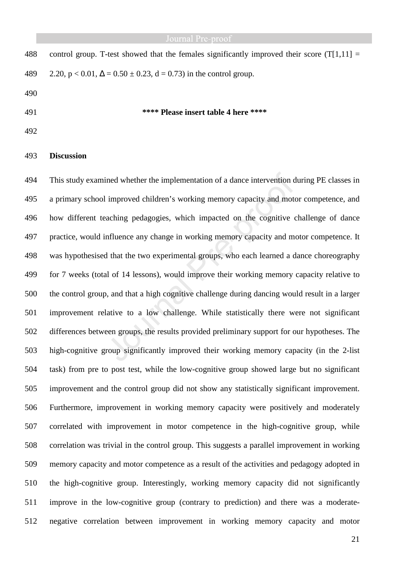| 488 | control group. T-test showed that the females significantly improved their score $(T[1,11] =$ |
|-----|-----------------------------------------------------------------------------------------------|
| 489 | 2.20, $p < 0.01$ , $\Delta = 0.50 \pm 0.23$ , $d = 0.73$ ) in the control group.              |
| 490 |                                                                                               |

### 491 **\*\*\*\* Please insert table 4 here \*\*\*\***

492

# 493 **Discussion**

494 This study examined whether the implementation of a dance intervention during PE classes in 495 a primary school improved children's working memory capacity and motor competence, and 496 how different teaching pedagogies, which impacted on the cognitive challenge of dance 497 practice, would influence any change in working memory capacity and motor competence. It 498 was hypothesised that the two experimental groups, who each learned a dance choreography 499 for 7 weeks (total of 14 lessons), would improve their working memory capacity relative to 500 the control group, and that a high cognitive challenge during dancing would result in a larger 501 improvement relative to a low challenge. While statistically there were not significant 502 differences between groups, the results provided preliminary support for our hypotheses. The 503 high-cognitive group significantly improved their working memory capacity (in the 2-list 504 task) from pre to post test, while the low-cognitive group showed large but no significant 505 improvement and the control group did not show any statistically significant improvement. 506 Furthermore, improvement in working memory capacity were positively and moderately 507 correlated with improvement in motor competence in the high-cognitive group, while 508 correlation was trivial in the control group. This suggests a parallel improvement in working 509 memory capacity and motor competence as a result of the activities and pedagogy adopted in 510 the high-cognitive group. Interestingly, working memory capacity did not significantly 511 improve in the low-cognitive group (contrary to prediction) and there was a moderate-512 negative correlation between improvement in working memory capacity and motor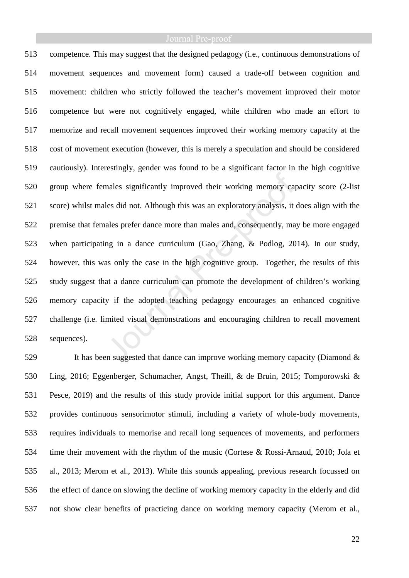# Journal Pre-proof

513 competence. This may suggest that the designed pedagogy (i.e., continuous demonstrations of 514 movement sequences and movement form) caused a trade-off between cognition and 515 movement: children who strictly followed the teacher's movement improved their motor 516 competence but were not cognitively engaged, while children who made an effort to 517 memorize and recall movement sequences improved their working memory capacity at the 518 cost of movement execution (however, this is merely a speculation and should be considered 519 cautiously). Interestingly, gender was found to be a significant factor in the high cognitive 520 group where females significantly improved their working memory capacity score (2-list 521 score) whilst males did not. Although this was an exploratory analysis, it does align with the 522 premise that females prefer dance more than males and, consequently, may be more engaged 523 when participating in a dance curriculum (Gao, Zhang, & Podlog, 2014). In our study, 524 however, this was only the case in the high cognitive group. Together, the results of this 525 study suggest that a dance curriculum can promote the development of children's working 526 memory capacity if the adopted teaching pedagogy encourages an enhanced cognitive 527 challenge (i.e. limited visual demonstrations and encouraging children to recall movement 528 sequences).

529 It has been suggested that dance can improve working memory capacity (Diamond & 530 Ling, 2016; Eggenberger, Schumacher, Angst, Theill, & de Bruin, 2015; Tomporowski & 531 Pesce, 2019) and the results of this study provide initial support for this argument. Dance 532 provides continuous sensorimotor stimuli, including a variety of whole-body movements, 533 requires individuals to memorise and recall long sequences of movements, and performers 534 time their movement with the rhythm of the music (Cortese & Rossi-Arnaud, 2010; Jola et 535 al., 2013; Merom et al., 2013). While this sounds appealing, previous research focussed on 536 the effect of dance on slowing the decline of working memory capacity in the elderly and did 537 not show clear benefits of practicing dance on working memory capacity (Merom et al.,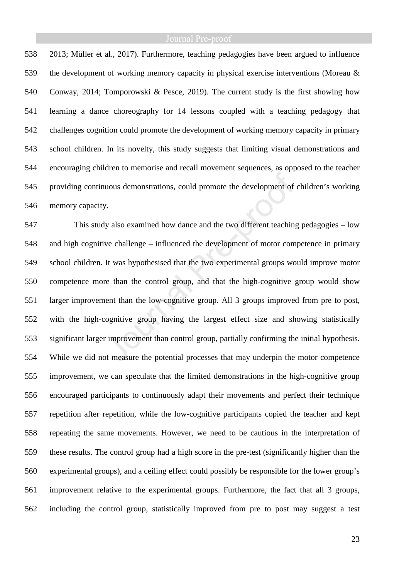538 2013; Müller et al., 2017). Furthermore, teaching pedagogies have been argued to influence 539 the development of working memory capacity in physical exercise interventions (Moreau & 540 Conway, 2014; Tomporowski & Pesce, 2019). The current study is the first showing how 541 learning a dance choreography for 14 lessons coupled with a teaching pedagogy that 542 challenges cognition could promote the development of working memory capacity in primary 543 school children. In its novelty, this study suggests that limiting visual demonstrations and 544 encouraging children to memorise and recall movement sequences, as opposed to the teacher 545 providing continuous demonstrations, could promote the development of children's working 546 memory capacity.

547 This study also examined how dance and the two different teaching pedagogies – low 548 and high cognitive challenge – influenced the development of motor competence in primary 549 school children. It was hypothesised that the two experimental groups would improve motor 550 competence more than the control group, and that the high-cognitive group would show 551 larger improvement than the low-cognitive group. All 3 groups improved from pre to post, 552 with the high-cognitive group having the largest effect size and showing statistically 553 significant larger improvement than control group, partially confirming the initial hypothesis. 554 While we did not measure the potential processes that may underpin the motor competence 555 improvement, we can speculate that the limited demonstrations in the high-cognitive group 556 encouraged participants to continuously adapt their movements and perfect their technique 557 repetition after repetition, while the low-cognitive participants copied the teacher and kept 558 repeating the same movements. However, we need to be cautious in the interpretation of 559 these results. The control group had a high score in the pre-test (significantly higher than the 560 experimental groups), and a ceiling effect could possibly be responsible for the lower group's 561 improvement relative to the experimental groups. Furthermore, the fact that all 3 groups, 562 including the control group, statistically improved from pre to post may suggest a test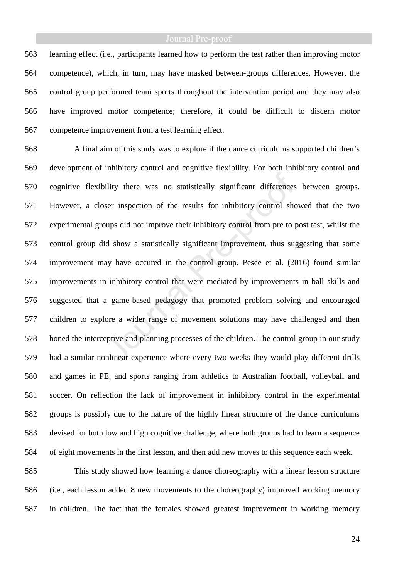563 learning effect (i.e., participants learned how to perform the test rather than improving motor 564 competence), which, in turn, may have masked between-groups differences. However, the 565 control group performed team sports throughout the intervention period and they may also 566 have improved motor competence; therefore, it could be difficult to discern motor 567 competence improvement from a test learning effect.

568 A final aim of this study was to explore if the dance curriculums supported children's 569 development of inhibitory control and cognitive flexibility. For both inhibitory control and 570 cognitive flexibility there was no statistically significant differences between groups. 571 However, a closer inspection of the results for inhibitory control showed that the two 572 experimental groups did not improve their inhibitory control from pre to post test, whilst the 573 control group did show a statistically significant improvement, thus suggesting that some 574 improvement may have occured in the control group. Pesce et al. (2016) found similar 575 improvements in inhibitory control that were mediated by improvements in ball skills and 576 suggested that a game-based pedagogy that promoted problem solving and encouraged 577 children to explore a wider range of movement solutions may have challenged and then 578 honed the interceptive and planning processes of the children. The control group in our study 579 had a similar nonlinear experience where every two weeks they would play different drills 580 and games in PE, and sports ranging from athletics to Australian football, volleyball and 581 soccer. On reflection the lack of improvement in inhibitory control in the experimental 582 groups is possibly due to the nature of the highly linear structure of the dance curriculums 583 devised for both low and high cognitive challenge, where both groups had to learn a sequence 584 of eight movements in the first lesson, and then add new moves to this sequence each week.

585 This study showed how learning a dance choreography with a linear lesson structure 586 (i.e., each lesson added 8 new movements to the choreography) improved working memory 587 in children. The fact that the females showed greatest improvement in working memory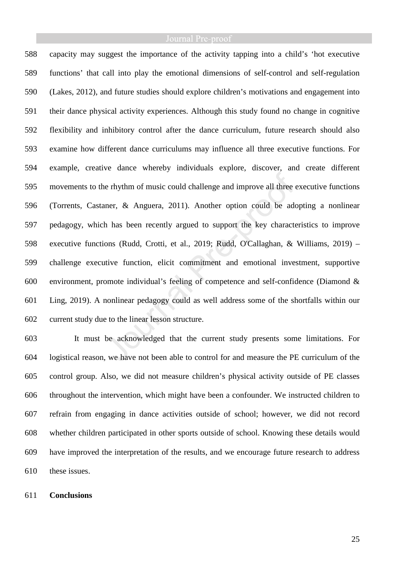588 capacity may suggest the importance of the activity tapping into a child's 'hot executive 589 functions' that call into play the emotional dimensions of self-control and self-regulation 590 (Lakes, 2012), and future studies should explore children's motivations and engagement into 591 their dance physical activity experiences. Although this study found no change in cognitive 592 flexibility and inhibitory control after the dance curriculum, future research should also 593 examine how different dance curriculums may influence all three executive functions. For 594 example, creative dance whereby individuals explore, discover, and create different 595 movements to the rhythm of music could challenge and improve all three executive functions 596 (Torrents, Castaner, & Anguera, 2011). Another option could be adopting a nonlinear 597 pedagogy, which has been recently argued to support the key characteristics to improve 598 executive functions (Rudd, Crotti, et al., 2019; Rudd, O'Callaghan, & Williams, 2019) – 599 challenge executive function, elicit commitment and emotional investment, supportive 600 environment, promote individual's feeling of competence and self-confidence (Diamond & 601 Ling, 2019). A nonlinear pedagogy could as well address some of the shortfalls within our 602 current study due to the linear lesson structure.

603 It must be acknowledged that the current study presents some limitations. For 604 logistical reason, we have not been able to control for and measure the PE curriculum of the 605 control group. Also, we did not measure children's physical activity outside of PE classes 606 throughout the intervention, which might have been a confounder. We instructed children to 607 refrain from engaging in dance activities outside of school; however, we did not record 608 whether children participated in other sports outside of school. Knowing these details would 609 have improved the interpretation of the results, and we encourage future research to address 610 these issues.

# 611 **Conclusions**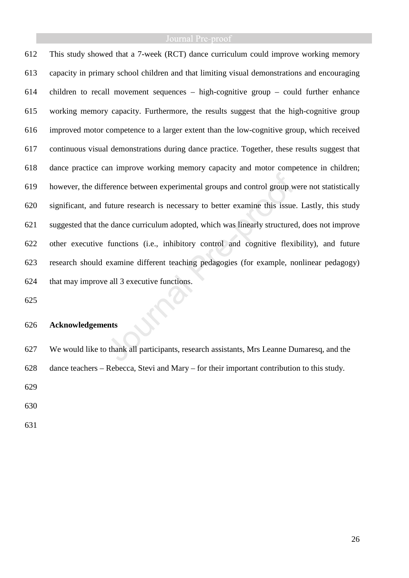612 This study showed that a 7-week (RCT) dance curriculum could improve working memory 613 capacity in primary school children and that limiting visual demonstrations and encouraging 614 children to recall movement sequences – high-cognitive group – could further enhance 615 working memory capacity. Furthermore, the results suggest that the high-cognitive group 616 improved motor competence to a larger extent than the low-cognitive group, which received 617 continuous visual demonstrations during dance practice. Together, these results suggest that 618 dance practice can improve working memory capacity and motor competence in children; 619 however, the difference between experimental groups and control group were not statistically 620 significant, and future research is necessary to better examine this issue. Lastly, this study 621 suggested that the dance curriculum adopted, which was linearly structured, does not improve 622 other executive functions (i.e., inhibitory control and cognitive flexibility), and future 623 research should examine different teaching pedagogies (for example, nonlinear pedagogy) 624 that may improve all 3 executive functions.

625

# 626 **Acknowledgements**

627 We would like to thank all participants, research assistants, Mrs Leanne Dumaresq, and the 628 dance teachers – Rebecca, Stevi and Mary – for their important contribution to this study.

629

630

631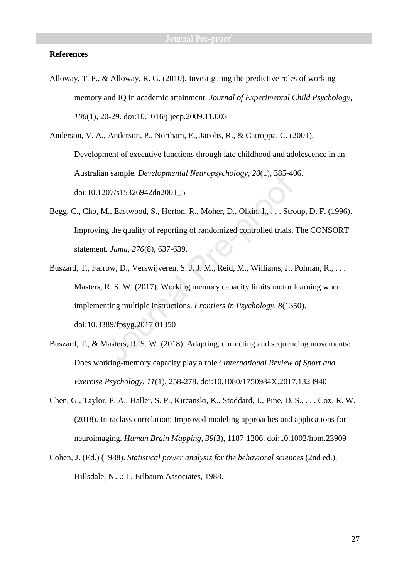### **References**

Alloway, T. P., & Alloway, R. G. (2010). Investigating the predictive roles of working memory and IQ in academic attainment. *Journal of Experimental Child Psychology, 106*(1), 20-29. doi:10.1016/j.jecp.2009.11.003

Anderson, V. A., Anderson, P., Northam, E., Jacobs, R., & Catroppa, C. (2001). Development of executive functions through late childhood and adolescence in an Australian sample. *Developmental Neuropsychology, 20*(1), 385-406. doi:10.1207/s15326942dn2001\_5

- Begg, C., Cho, M., Eastwood, S., Horton, R., Moher, D., Olkin, I., . . . Stroup, D. F. (1996). Improving the quality of reporting of randomized controlled trials. The CONSORT statement. *Jama, 276*(8), 637-639.
- Buszard, T., Farrow, D., Verswijveren, S. J. J. M., Reid, M., Williams, J., Polman, R., . . . Masters, R. S. W. (2017). Working memory capacity limits motor learning when implementing multiple instructions. *Frontiers in Psychology, 8*(1350). doi:10.3389/fpsyg.2017.01350
- Buszard, T., & Masters, R. S. W. (2018). Adapting, correcting and sequencing movements: Does working-memory capacity play a role? *International Review of Sport and Exercise Psychology, 11*(1), 258-278. doi:10.1080/1750984X.2017.1323940
- Chen, G., Taylor, P. A., Haller, S. P., Kircanski, K., Stoddard, J., Pine, D. S., . . . Cox, R. W. (2018). Intraclass correlation: Improved modeling approaches and applications for neuroimaging. *Human Brain Mapping, 39*(3), 1187-1206. doi:10.1002/hbm.23909
- Cohen, J. (Ed.) (1988). *Statistical power analysis for the behavioral sciences* (2nd ed.). Hillsdale, N.J.: L. Erlbaum Associates, 1988.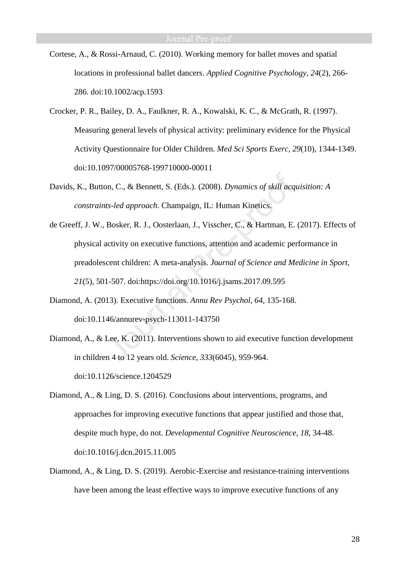- Cortese, A., & Rossi-Arnaud, C. (2010). Working memory for ballet moves and spatial locations in professional ballet dancers. *Applied Cognitive Psychology, 24*(2), 266- 286. doi:10.1002/acp.1593
- Crocker, P. R., Bailey, D. A., Faulkner, R. A., Kowalski, K. C., & McGrath, R. (1997). Measuring general levels of physical activity: preliminary evidence for the Physical Activity Questionnaire for Older Children. *Med Sci Sports Exerc, 29*(10), 1344-1349. doi:10.1097/00005768-199710000-00011
- Davids, K., Button, C., & Bennett, S. (Eds.). (2008). *Dynamics of skill acquisition: A constraints-led approach*. Champaign, IL: Human Kinetics.
- de Greeff, J. W., Bosker, R. J., Oosterlaan, J., Visscher, C., & Hartman, E. (2017). Effects of physical activity on executive functions, attention and academic performance in preadolescent children: A meta-analysis. *Journal of Science and Medicine in Sport, 21*(5), 501-507. doi:https://doi.org/10.1016/j.jsams.2017.09.595
- Diamond, A. (2013). Executive functions. *Annu Rev Psychol, 64*, 135-168. doi:10.1146/annurev-psych-113011-143750
- Diamond, A., & Lee, K. (2011). Interventions shown to aid executive function development in children 4 to 12 years old. *Science, 333*(6045), 959-964. doi:10.1126/science.1204529
- Diamond, A., & Ling, D. S. (2016). Conclusions about interventions, programs, and approaches for improving executive functions that appear justified and those that, despite much hype, do not. *Developmental Cognitive Neuroscience, 18*, 34-48. doi:10.1016/j.dcn.2015.11.005
- Diamond, A., & Ling, D. S. (2019). Aerobic-Exercise and resistance-training interventions have been among the least effective ways to improve executive functions of any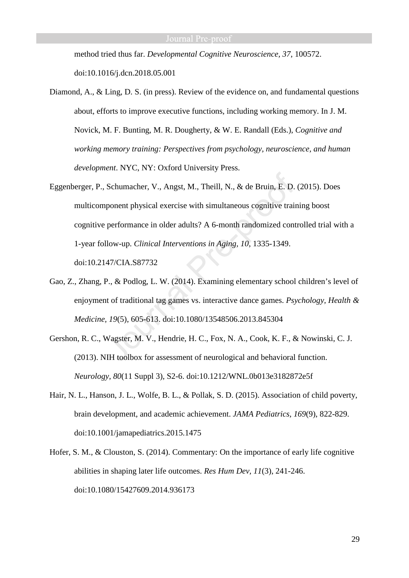method tried thus far. *Developmental Cognitive Neuroscience, 37*, 100572. doi:10.1016/j.dcn.2018.05.001

- Diamond, A., & Ling, D. S. (in press). Review of the evidence on, and fundamental questions about, efforts to improve executive functions, including working memory. In J. M. Novick, M. F. Bunting, M. R. Dougherty, & W. E. Randall (Eds.), *Cognitive and working memory training: Perspectives from psychology, neuroscience, and human development*. NYC, NY: Oxford University Press.
- Eggenberger, P., Schumacher, V., Angst, M., Theill, N., & de Bruin, E. D. (2015). Does multicomponent physical exercise with simultaneous cognitive training boost cognitive performance in older adults? A 6-month randomized controlled trial with a 1-year follow-up. *Clinical Interventions in Aging, 10*, 1335-1349. doi:10.2147/CIA.S87732
- Gao, Z., Zhang, P., & Podlog, L. W. (2014). Examining elementary school children's level of enjoyment of traditional tag games vs. interactive dance games. *Psychology, Health & Medicine, 19*(5), 605-613. doi:10.1080/13548506.2013.845304
- Gershon, R. C., Wagster, M. V., Hendrie, H. C., Fox, N. A., Cook, K. F., & Nowinski, C. J. (2013). NIH toolbox for assessment of neurological and behavioral function. *Neurology, 80*(11 Suppl 3), S2-6. doi:10.1212/WNL.0b013e3182872e5f
- Hair, N. L., Hanson, J. L., Wolfe, B. L., & Pollak, S. D. (2015). Association of child poverty, brain development, and academic achievement. *JAMA Pediatrics, 169*(9), 822-829. doi:10.1001/jamapediatrics.2015.1475
- Hofer, S. M., & Clouston, S. (2014). Commentary: On the importance of early life cognitive abilities in shaping later life outcomes. *Res Hum Dev, 11*(3), 241-246. doi:10.1080/15427609.2014.936173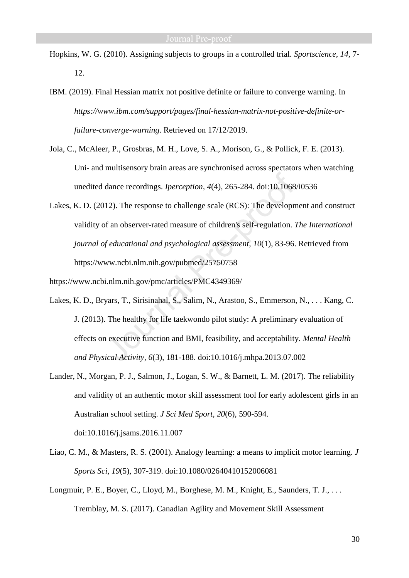- Hopkins, W. G. (2010). Assigning subjects to groups in a controlled trial. *Sportscience, 14*, 7- 12.
- IBM. (2019). Final Hessian matrix not positive definite or failure to converge warning. In *https://www.ibm.com/support/pages/final-hessian-matrix-not-positive-definite-orfailure-converge-warning*. Retrieved on 17/12/2019.
- Jola, C., McAleer, P., Grosbras, M. H., Love, S. A., Morison, G., & Pollick, F. E. (2013). Uni- and multisensory brain areas are synchronised across spectators when watching unedited dance recordings. *Iperception, 4*(4), 265-284. doi:10.1068/i0536
- Lakes, K. D. (2012). The response to challenge scale (RCS): The development and construct validity of an observer-rated measure of children's self-regulation. *The International journal of educational and psychological assessment, 10*(1), 83-96. Retrieved from https://www.ncbi.nlm.nih.gov/pubmed/25750758

https://www.ncbi.nlm.nih.gov/pmc/articles/PMC4349369/

- Lakes, K. D., Bryars, T., Sirisinahal, S., Salim, N., Arastoo, S., Emmerson, N., . . . Kang, C. J. (2013). The healthy for life taekwondo pilot study: A preliminary evaluation of effects on executive function and BMI, feasibility, and acceptability. *Mental Health and Physical Activity, 6*(3), 181-188. doi:10.1016/j.mhpa.2013.07.002
- Lander, N., Morgan, P. J., Salmon, J., Logan, S. W., & Barnett, L. M. (2017). The reliability and validity of an authentic motor skill assessment tool for early adolescent girls in an Australian school setting. *J Sci Med Sport, 20*(6), 590-594. doi:10.1016/j.jsams.2016.11.007
- Liao, C. M., & Masters, R. S. (2001). Analogy learning: a means to implicit motor learning. *J Sports Sci, 19*(5), 307-319. doi:10.1080/02640410152006081
- Longmuir, P. E., Boyer, C., Lloyd, M., Borghese, M. M., Knight, E., Saunders, T. J., . . . Tremblay, M. S. (2017). Canadian Agility and Movement Skill Assessment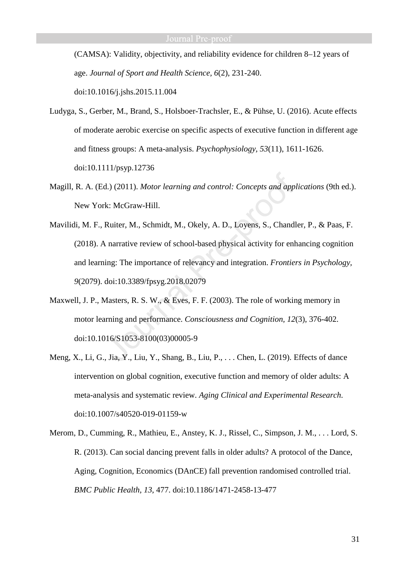(CAMSA): Validity, objectivity, and reliability evidence for children 8–12 years of age. *Journal of Sport and Health Science, 6*(2), 231-240. doi:10.1016/j.jshs.2015.11.004

Ludyga, S., Gerber, M., Brand, S., Holsboer-Trachsler, E., & Pühse, U. (2016). Acute effects of moderate aerobic exercise on specific aspects of executive function in different age and fitness groups: A meta-analysis. *Psychophysiology, 53*(11), 1611-1626. doi:10.1111/psyp.12736

- Magill, R. A. (Ed.) (2011). *Motor learning and control: Concepts and applications* (9th ed.). New York: McGraw-Hill.
- Mavilidi, M. F., Ruiter, M., Schmidt, M., Okely, A. D., Loyens, S., Chandler, P., & Paas, F. (2018). A narrative review of school-based physical activity for enhancing cognition and learning: The importance of relevancy and integration. *Frontiers in Psychology, 9*(2079). doi:10.3389/fpsyg.2018.02079
- Maxwell, J. P., Masters, R. S. W., & Eves, F. F. (2003). The role of working memory in motor learning and performance. *Consciousness and Cognition, 12*(3), 376-402. doi:10.1016/S1053-8100(03)00005-9
- Meng, X., Li, G., Jia, Y., Liu, Y., Shang, B., Liu, P., . . . Chen, L. (2019). Effects of dance intervention on global cognition, executive function and memory of older adults: A meta-analysis and systematic review. *Aging Clinical and Experimental Research*. doi:10.1007/s40520-019-01159-w
- Merom, D., Cumming, R., Mathieu, E., Anstey, K. J., Rissel, C., Simpson, J. M., . . . Lord, S. R. (2013). Can social dancing prevent falls in older adults? A protocol of the Dance, Aging, Cognition, Economics (DAnCE) fall prevention randomised controlled trial. *BMC Public Health, 13*, 477. doi:10.1186/1471-2458-13-477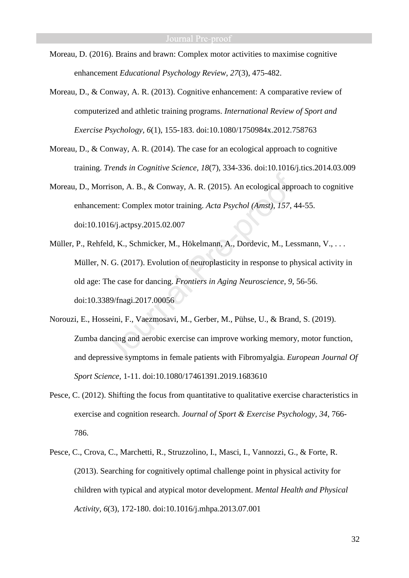- Moreau, D. (2016). Brains and brawn: Complex motor activities to maximise cognitive enhancement *Educational Psychology Review, 27*(3), 475-482.
- Moreau, D., & Conway, A. R. (2013). Cognitive enhancement: A comparative review of computerized and athletic training programs. *International Review of Sport and Exercise Psychology, 6*(1), 155-183. doi:10.1080/1750984x.2012.758763
- Moreau, D., & Conway, A. R. (2014). The case for an ecological approach to cognitive training. *Trends in Cognitive Science, 18*(7), 334-336. doi:10.1016/j.tics.2014.03.009
- Moreau, D., Morrison, A. B., & Conway, A. R. (2015). An ecological approach to cognitive enhancement: Complex motor training. *Acta Psychol (Amst), 157*, 44-55. doi:10.1016/j.actpsy.2015.02.007
- Müller, P., Rehfeld, K., Schmicker, M., Hökelmann, A., Dordevic, M., Lessmann, V., . . . Müller, N. G. (2017). Evolution of neuroplasticity in response to physical activity in old age: The case for dancing. *Frontiers in Aging Neuroscience, 9*, 56-56. doi:10.3389/fnagi.2017.00056
- Norouzi, E., Hosseini, F., Vaezmosavi, M., Gerber, M., Pühse, U., & Brand, S. (2019). Zumba dancing and aerobic exercise can improve working memory, motor function, and depressive symptoms in female patients with Fibromyalgia. *European Journal Of Sport Science*, 1-11. doi:10.1080/17461391.2019.1683610
- Pesce, C. (2012). Shifting the focus from quantitative to qualitative exercise characteristics in exercise and cognition research. *Journal of Sport & Exercise Psychology, 34*, 766- 786.
- Pesce, C., Crova, C., Marchetti, R., Struzzolino, I., Masci, I., Vannozzi, G., & Forte, R. (2013). Searching for cognitively optimal challenge point in physical activity for children with typical and atypical motor development. *Mental Health and Physical Activity, 6*(3), 172-180. doi:10.1016/j.mhpa.2013.07.001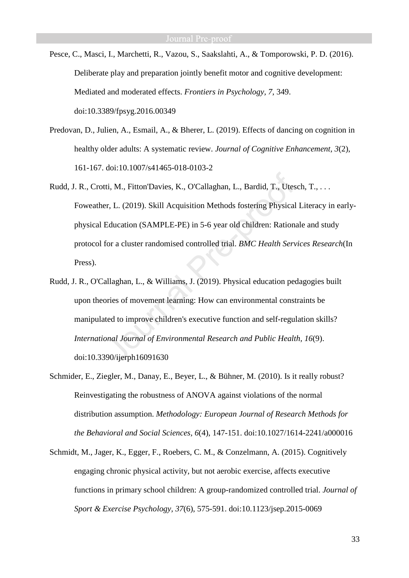- Pesce, C., Masci, I., Marchetti, R., Vazou, S., Saakslahti, A., & Tomporowski, P. D. (2016). Deliberate play and preparation jointly benefit motor and cognitive development: Mediated and moderated effects. *Frontiers in Psychology, 7*, 349. doi:10.3389/fpsyg.2016.00349
- Predovan, D., Julien, A., Esmail, A., & Bherer, L. (2019). Effects of dancing on cognition in healthy older adults: A systematic review. *Journal of Cognitive Enhancement, 3*(2), 161-167. doi:10.1007/s41465-018-0103-2
- Rudd, J. R., Crotti, M., Fitton'Davies, K., O'Callaghan, L., Bardid, T., Utesch, T., . . . Foweather, L. (2019). Skill Acquisition Methods fostering Physical Literacy in earlyphysical Education (SAMPLE-PE) in 5-6 year old children: Rationale and study protocol for a cluster randomised controlled trial. *BMC Health Services Research*(In Press).
- Rudd, J. R., O'Callaghan, L., & Williams, J. (2019). Physical education pedagogies built upon theories of movement learning: How can environmental constraints be manipulated to improve children's executive function and self-regulation skills? *International Journal of Environmental Research and Public Health, 16*(9). doi:10.3390/ijerph16091630
- Schmider, E., Ziegler, M., Danay, E., Beyer, L., & Bühner, M. (2010). Is it really robust? Reinvestigating the robustness of ANOVA against violations of the normal distribution assumption. *Methodology: European Journal of Research Methods for the Behavioral and Social Sciences, 6*(4), 147-151. doi:10.1027/1614-2241/a000016
- Schmidt, M., Jager, K., Egger, F., Roebers, C. M., & Conzelmann, A. (2015). Cognitively engaging chronic physical activity, but not aerobic exercise, affects executive functions in primary school children: A group-randomized controlled trial. *Journal of Sport & Exercise Psychology, 37*(6), 575-591. doi:10.1123/jsep.2015-0069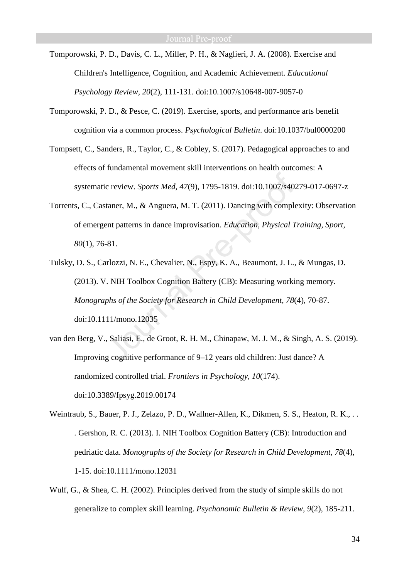- Tomporowski, P. D., Davis, C. L., Miller, P. H., & Naglieri, J. A. (2008). Exercise and Children's Intelligence, Cognition, and Academic Achievement. *Educational Psychology Review, 20*(2), 111-131. doi:10.1007/s10648-007-9057-0
- Tomporowski, P. D., & Pesce, C. (2019). Exercise, sports, and performance arts benefit cognition via a common process. *Psychological Bulletin*. doi:10.1037/bul0000200
- Tompsett, C., Sanders, R., Taylor, C., & Cobley, S. (2017). Pedagogical approaches to and effects of fundamental movement skill interventions on health outcomes: A systematic review. *Sports Med, 47*(9), 1795-1819. doi:10.1007/s40279-017-0697-z
- Torrents, C., Castaner, M., & Anguera, M. T. (2011). Dancing with complexity: Observation of emergent patterns in dance improvisation. *Education, Physical Training, Sport, 80*(1), 76-81.
- Tulsky, D. S., Carlozzi, N. E., Chevalier, N., Espy, K. A., Beaumont, J. L., & Mungas, D. (2013). V. NIH Toolbox Cognition Battery (CB): Measuring working memory. *Monographs of the Society for Research in Child Development, 78*(4), 70-87. doi:10.1111/mono.12035
- van den Berg, V., Saliasi, E., de Groot, R. H. M., Chinapaw, M. J. M., & Singh, A. S. (2019). Improving cognitive performance of 9–12 years old children: Just dance? A randomized controlled trial. *Frontiers in Psychology, 10*(174). doi:10.3389/fpsyg.2019.00174
- Weintraub, S., Bauer, P. J., Zelazo, P. D., Wallner-Allen, K., Dikmen, S. S., Heaton, R. K., . . . Gershon, R. C. (2013). I. NIH Toolbox Cognition Battery (CB): Introduction and pedriatic data. *Monographs of the Society for Research in Child Development, 78*(4), 1-15. doi:10.1111/mono.12031
- Wulf, G., & Shea, C. H. (2002). Principles derived from the study of simple skills do not generalize to complex skill learning. *Psychonomic Bulletin & Review, 9*(2), 185-211.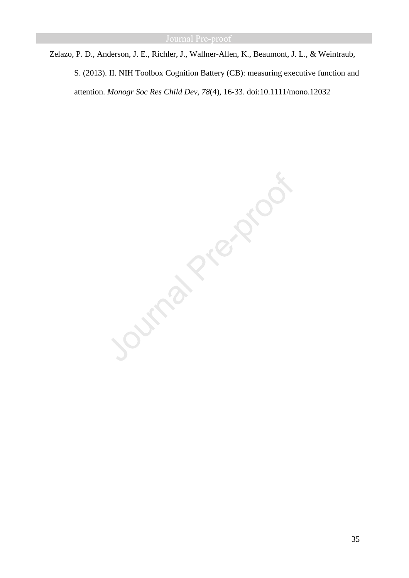Zelazo, P. D., Anderson, J. E., Richler, J., Wallner-Allen, K., Beaumont, J. L., & Weintraub, S. (2013). II. NIH Toolbox Cognition Battery (CB): measuring executive function and attention. *Monogr Soc Res Child Dev, 78*(4), 16-33. doi:10.1111/mono.12032

Journal Prezion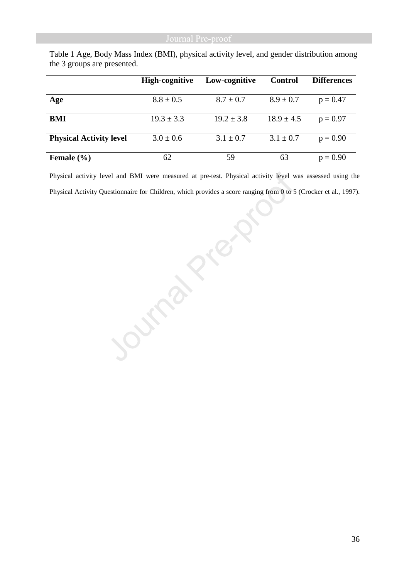|                                | <b>High-cognitive</b> | Low-cognitive  | <b>Control</b> | <b>Differences</b> |
|--------------------------------|-----------------------|----------------|----------------|--------------------|
| Age                            | $8.8 \pm 0.5$         | $8.7 \pm 0.7$  | $8.9 \pm 0.7$  | $p = 0.47$         |
| BMI                            | $19.3 \pm 3.3$        | $19.2 \pm 3.8$ | $18.9 \pm 4.5$ | $p = 0.97$         |
| <b>Physical Activity level</b> | $3.0 \pm 0.6$         | $3.1 \pm 0.7$  | $3.1 \pm 0.7$  | $p = 0.90$         |
| Female $(\% )$                 | 62                    | 59             | 63             | $p = 0.90$         |

Table 1 Age, Body Mass Index (BMI), physical activity level, and gender distribution among the 3 groups are presented.

Physical Activity Questionnaire for Children, which provides a score ranging from 0 to 5 (Crocker et al., 1997).

Physical activity level and BMI were measured at pre-test. Physical activity level was assessed using the Physical Activity Questionnaire for Children, which provides a score ranging from 0 to 5 (Crocker et al., 1997).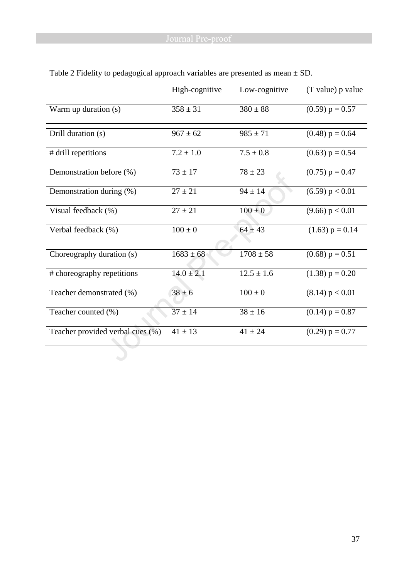|                                  | High-cognitive | Low-cognitive  | (T value) p value |
|----------------------------------|----------------|----------------|-------------------|
| Warm up duration (s)             | $358 \pm 31$   | $380 \pm 88$   | $(0.59) p = 0.57$ |
| Drill duration (s)               | $967 \pm 62$   | $985 \pm 71$   | $(0.48) p = 0.64$ |
|                                  |                |                |                   |
| # drill repetitions              | $7.2 \pm 1.0$  | $7.5 \pm 0.8$  | $(0.63) p = 0.54$ |
| Demonstration before (%)         | $73 \pm 17$    | $78 \pm 23$    | $(0.75) p = 0.47$ |
| Demonstration during (%)         | $27 \pm 21$    | $94 \pm 14$    | (6.59) p < 0.01   |
| Visual feedback (%)              | $27 \pm 21$    | $100 \pm 0$    | (9.66) p < 0.01   |
| Verbal feedback (%)              | $100 \pm 0$    | $64 \pm 43$    | $(1.63) p = 0.14$ |
| Choreography duration (s)        | $1683 \pm 68$  | $1708 \pm 58$  | $(0.68) p = 0.51$ |
| # choreography repetitions       | $14.0 \pm 2.1$ | $12.5 \pm 1.6$ | $(1.38) p = 0.20$ |
| Teacher demonstrated (%)         | $38 \pm 6$     | $100 \pm 0$    | (8.14) p < 0.01   |
| Teacher counted (%)              | $37 \pm 14$    | $38 \pm 16$    | $(0.14) p = 0.87$ |
| Teacher provided verbal cues (%) | $41 \pm 13$    | $41 \pm 24$    | $(0.29) p = 0.77$ |

Table 2 Fidelity to pedagogical approach variables are presented as mean  $\pm$  SD.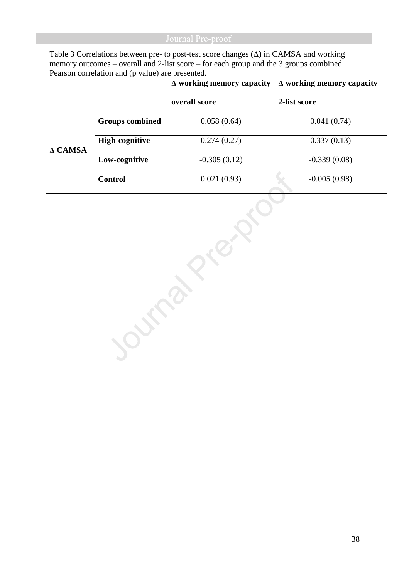Table 3 Correlations between pre- to post-test score changes (∆**)** in CAMSA and working memory outcomes – overall and 2-list score – for each group and the 3 groups combined. Pearson correlation and (p value) are presented.

|                |                        | $\Delta$ working memory capacity | $\Delta$ working memory capacity |
|----------------|------------------------|----------------------------------|----------------------------------|
|                |                        | overall score                    | 2-list score                     |
|                | <b>Groups</b> combined | 0.058(0.64)                      | 0.041(0.74)                      |
| $\Delta$ CAMSA | <b>High-cognitive</b>  | 0.274(0.27)                      | 0.337(0.13)                      |
|                | Low-cognitive          | $-0.305(0.12)$                   | $-0.339(0.08)$                   |
|                | <b>Control</b>         | 0.021(0.93)                      | $-0.005(0.98)$                   |
|                |                        |                                  |                                  |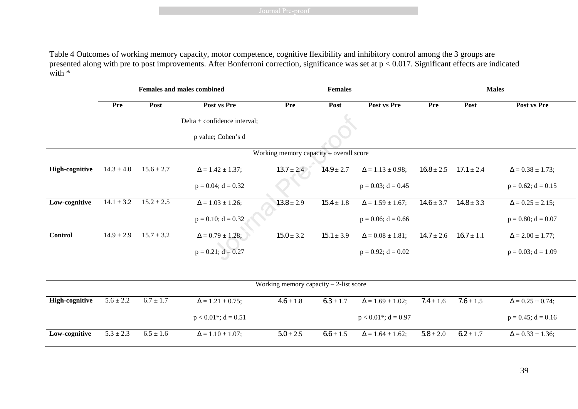Table 4 Outcomes of working memory capacity, motor competence, cognitive flexibility and inhibitory control among the 3 groups are presented along with pre to post improvements. After Bonferroni correction, significance was set at p < 0.017. Significant effects are indicated with  $*$ 

|                       |                |                             | <b>Females and males combined</b>    |                                          | <b>Females</b> |                                      |                | <b>Males</b>   |                            |  |  |
|-----------------------|----------------|-----------------------------|--------------------------------------|------------------------------------------|----------------|--------------------------------------|----------------|----------------|----------------------------|--|--|
|                       | <b>Pre</b>     | Post                        | Post vs Pre                          | Pre                                      | Post           | Post vs Pre                          | Pre            | Post           | Post vs Pre                |  |  |
|                       |                |                             | Delta $\pm$ confidence interval;     |                                          |                |                                      |                |                |                            |  |  |
|                       |                |                             | p value; Cohen's d                   |                                          |                |                                      |                |                |                            |  |  |
|                       |                |                             |                                      | Working memory capacity - overall score  |                |                                      |                |                |                            |  |  |
| <b>High-cognitive</b> | $14.3 \pm 4.0$ | $15.6 \pm 2.7$              | $\Delta = 1.42 \pm 1.37;$            | $13.7 \pm 2.4$                           | $14.9 \pm 2.7$ | $\Delta = 1.13 \pm 0.98;$            | $16.8 \pm 2.5$ | $17.1 \pm 2.4$ | $\Delta = 0.38 \pm 1.73;$  |  |  |
|                       |                |                             | $p = 0.04$ ; $d = 0.32$              |                                          |                | $p = 0.03$ ; d = 0.45                |                |                | $p = 0.62$ ; $d = 0.15$    |  |  |
| Low-cognitive         | $14.1 \pm 3.2$ | $15.2 \pm 2.5$              | $\Delta = 1.03 \pm 1.26$ ;           | $13.8 \pm 2.9$                           | $15.4 \pm 1.8$ | $\Delta = 1.59 \pm 1.67$ ;           | $14.6 \pm 3.7$ | $14.8 \pm 3.3$ | $\Delta = 0.25 \pm 2.15$ ; |  |  |
|                       |                |                             | $p = 0.10$ ; $d = 0.32$              |                                          |                | $p = 0.06$ ; $d = 0.66$              |                |                | $p = 0.80$ ; $d = 0.07$    |  |  |
| Control               | $14.9 \pm 2.9$ | $\frac{15.7}{15.7} \pm 3.2$ | $\Delta = 0.79 \pm 1.28$ ;           | $15.0 \pm 3.2$                           | $15.1 \pm 3.9$ | $\Delta = 0.08 \pm 1.81;$            | $14.7 \pm 2.6$ | $16.7 \pm 1.1$ | $\Delta = 2.00 \pm 1.77;$  |  |  |
|                       |                |                             | $p = 0.21$ ; $d = 0.27$              |                                          |                | $p = 0.92$ ; $d = 0.02$              |                |                | $p = 0.03$ ; $d = 1.09$    |  |  |
|                       |                |                             |                                      |                                          |                |                                      |                |                |                            |  |  |
|                       |                |                             |                                      | Working memory capacity $-2$ -list score |                |                                      |                |                |                            |  |  |
| <b>High-cognitive</b> | $5.6 \pm 2.2$  | $6.7 \pm 1.7$               | $\Delta = 1.21 \pm 0.75$ ;           | $4.6 \pm 1.8$                            | $6.3 \pm 1.7$  | $\Delta = 1.69 \pm 1.02$ ;           | $7.4 \pm 1.6$  | $7.6 \pm 1.5$  | $\Delta = 0.25 \pm 0.74;$  |  |  |
|                       |                |                             | $p < 0.01$ <sup>*</sup> ; $d = 0.51$ |                                          |                | $p < 0.01$ <sup>*</sup> ; $d = 0.97$ |                |                | $p = 0.45$ ; $d = 0.16$    |  |  |
| Low-cognitive         | $5.3 \pm 2.3$  | $6.5 \pm 1.6$               | $\Delta = 1.10 \pm 1.07$ ;           | $5.0 \pm 2.5$                            | $6.6 \pm 1.5$  | $\Delta$ = 1.64 $\pm$ 1.62;          | $5.8 \pm 2.0$  | $6.2 \pm 1.7$  | $\Delta = 0.33 \pm 1.36;$  |  |  |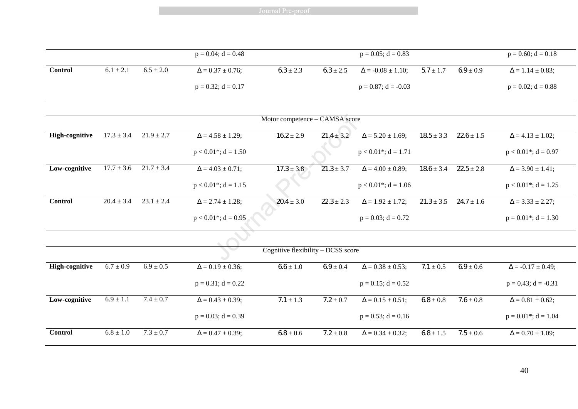Journal Pre-proof

|         |               |               | $p = 0.04$ ; d = 0.48     |               |               | $p = 0.05$ ; d = 0.83        |               |               | $p = 0.60$ ; $d = 0.18$   |
|---------|---------------|---------------|---------------------------|---------------|---------------|------------------------------|---------------|---------------|---------------------------|
| Control | $6.1 \pm 2.1$ | $6.5 \pm 2.0$ | $\Delta = 0.37 \pm 0.76;$ | $6.3 \pm 2.3$ | $6.3 \pm 2.5$ | $\Delta$ = -0.08 $\pm$ 1.10; | $5.7 \pm 1.7$ | $6.9 \pm 0.9$ | $\Delta = 1.14 \pm 0.83;$ |
|         |               |               | $p = 0.32$ ; d = 0.17     |               |               | $p = 0.87$ ; d = -0.03       |               |               | $p = 0.02$ ; d = 0.88     |

|                       |                |                |                                      | Motor competence - CAMSA score     |                |                                      |                |                |                                      |
|-----------------------|----------------|----------------|--------------------------------------|------------------------------------|----------------|--------------------------------------|----------------|----------------|--------------------------------------|
| <b>High-cognitive</b> | $17.3 \pm 3.4$ | $21.9 \pm 2.7$ | $\Delta = 4.58 \pm 1.29$ ;           | $16.2 \pm 2.9$                     | $21.4 \pm 3.2$ | $\Delta = 5.20 \pm 1.69;$            | $18.5 \pm 3.3$ | $22.6 \pm 1.5$ | $\Delta = 4.13 \pm 1.02;$            |
|                       |                |                | $p < 0.01$ <sup>*</sup> ; $d = 1.50$ |                                    |                | $p < 0.01$ <sup>*</sup> ; d = 1.71   |                |                | $p < 0.01$ <sup>*</sup> ; d = 0.97   |
| Low-cognitive         | $17.7 \pm 3.6$ | $21.7 \pm 3.4$ | $\Delta = 4.03 \pm 0.71$ ;           | $17.3 \pm 3.8$                     | $21.3 \pm 3.7$ | $\Delta = 4.00 \pm 0.89;$            | $18.6 \pm 3.4$ | $22.5 \pm 2.8$ | $\Delta = 3.90 \pm 1.41;$            |
|                       |                |                | $p < 0.01$ <sup>*</sup> ; d = 1.15   |                                    |                | $p < 0.01$ <sup>*</sup> ; $d = 1.06$ |                |                | $p < 0.01$ <sup>*</sup> ; d = 1.25   |
| <b>Control</b>        | $20.4 \pm 3.4$ | $23.1 \pm 2.4$ | $\Delta = 2.74 \pm 1.28$ ;           | $20.4 \pm 3.0$                     | $22.3 \pm 2.3$ | $\Delta = 1.92 \pm 1.72;$            | $21.3 \pm 3.5$ | $24.7 \pm 1.6$ | $\Delta = 3.33 \pm 2.27$ ;           |
|                       |                |                | $p < 0.01$ <sup>*</sup> ; d = 0.95   |                                    |                | $p = 0.03$ ; $d = 0.72$              |                |                | $p = 0.01$ <sup>*</sup> ; $d = 1.30$ |
|                       |                |                |                                      |                                    |                |                                      |                |                |                                      |
|                       |                |                |                                      | Cognitive flexibility - DCSS score |                |                                      |                |                |                                      |
| <b>High-cognitive</b> | $6.7 \pm 0.9$  | $6.9 \pm 0.5$  | $\Delta = 0.19 \pm 0.36;$            | $6.6 \pm 1.0$                      | $6.9 \pm 0.4$  | $\Delta = 0.38 \pm 0.53;$            | $7.1 \pm 0.5$  | $6.9 \pm 0.6$  | $\Delta$ = -0.17 $\pm$ 0.49;         |
|                       |                |                | $p = 0.31$ ; $d = 0.22$              |                                    |                | $p = 0.15$ ; $d = 0.52$              |                |                | $p = 0.43$ ; d = -0.31               |
| Low-cognitive         | $6.9 \pm 1.1$  | $7.4 \pm 0.7$  | $\Delta = 0.43 \pm 0.39;$            | $7.1 \pm 1.3$                      | $7.2 \pm 0.7$  | $\Delta = 0.15 \pm 0.51;$            | $6.8 \pm 0.8$  | $7.6 \pm 0.8$  | $\Delta = 0.81 \pm 0.62;$            |
|                       |                |                | $p = 0.03$ ; $d = 0.39$              |                                    |                | $p = 0.53$ ; $d = 0.16$              |                |                | $p = 0.01$ <sup>*</sup> ; $d = 1.04$ |
| <b>Control</b>        | $6.8 \pm 1.0$  | $7.3 \pm 0.7$  | $\Delta = 0.47 \pm 0.39;$            | $6.8 \pm 0.6$                      | $7.2 \pm 0.8$  | $\Delta = 0.34 \pm 0.32;$            | $6.8 \pm 1.5$  | $7.5 \pm 0.6$  | $\Delta = 0.70 \pm 1.09$ ;           |

40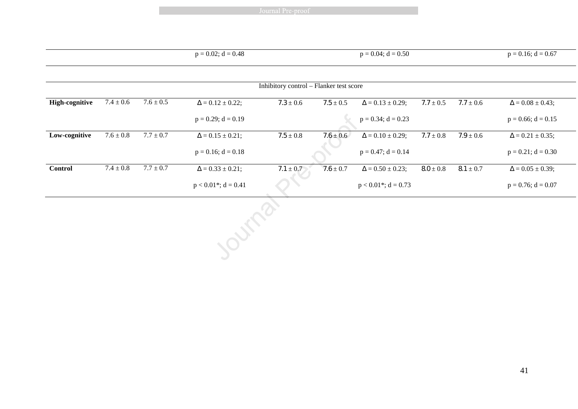Journal Pre-proof

|                       |               |               | $p = 0.02$ ; $d = 0.48$            |                                         |               | $p = 0.04$ ; $d = 0.50$   |               |               | $p = 0.16$ ; $d = 0.67$   |
|-----------------------|---------------|---------------|------------------------------------|-----------------------------------------|---------------|---------------------------|---------------|---------------|---------------------------|
|                       |               |               |                                    |                                         |               |                           |               |               |                           |
|                       |               |               |                                    | Inhibitory control - Flanker test score |               |                           |               |               |                           |
| <b>High-cognitive</b> | $7.4 \pm 0.6$ | $7.6\pm0.5$   | $\Delta = 0.12 \pm 0.22;$          | $7.3 \pm 0.6$                           | $7.5 \pm 0.5$ | $\Delta = 0.13 \pm 0.29;$ | $7.7 \pm 0.5$ | $7.7 \pm 0.6$ | $\Delta = 0.08 \pm 0.43;$ |
|                       |               |               | $p = 0.29$ ; $d = 0.19$            |                                         |               | $p = 0.34$ ; $d = 0.23$   |               |               | $p = 0.66$ ; $d = 0.15$   |
| Low-cognitive         | $7.6 \pm 0.8$ | $7.7 \pm 0.7$ | $\Delta = 0.15 \pm 0.21;$          | $7.5\pm0.8$                             | $7.6 \pm 0.6$ | $\Delta = 0.10 \pm 0.29;$ | $7.7 \pm 0.8$ | $7.9 \pm 0.6$ | $\Delta = 0.21 \pm 0.35;$ |
|                       |               |               | $p = 0.16$ ; $d = 0.18$            |                                         |               | $p = 0.47$ ; $d = 0.14$   |               |               | $p = 0.21$ ; $d = 0.30$   |
| <b>Control</b>        | $7.4\pm0.8$   | $7.7 \pm 0.7$ | $\Delta = 0.33 \pm 0.21;$          | $7.1 \pm 0.7$                           | $7.6 \pm 0.7$ | $\Delta = 0.50 \pm 0.23;$ | $8.0\pm0.8$   | $8.1\pm0.7$   | $\Delta = 0.05 \pm 0.39;$ |
|                       |               |               | $p < 0.01$ <sup>*</sup> ; d = 0.41 |                                         |               | $p < 0.01$ *; d = 0.73    |               |               | $p = 0.76$ ; $d = 0.07$   |
|                       |               |               | <b>Outra</b>                       |                                         |               |                           |               |               |                           |
|                       |               |               |                                    |                                         |               |                           |               |               |                           |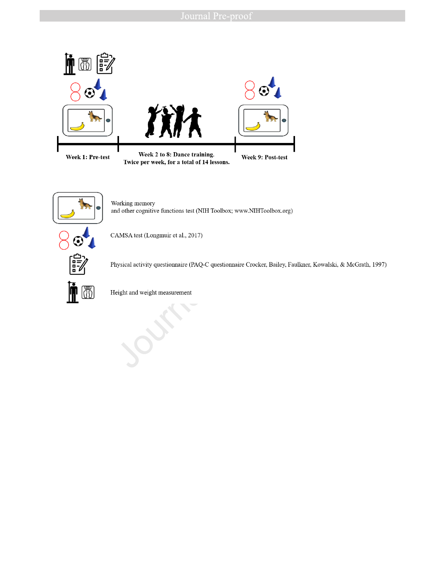



OD

l

Working memory and other cognitive functions test (NIH Toolbox; www.NIHToolbox.org)



Physical activity questionnaire (PAQ-C questionnaire Crocker, Bailey, Faulkner, Kowalski, & McGrath, 1997)

Height and weight measurement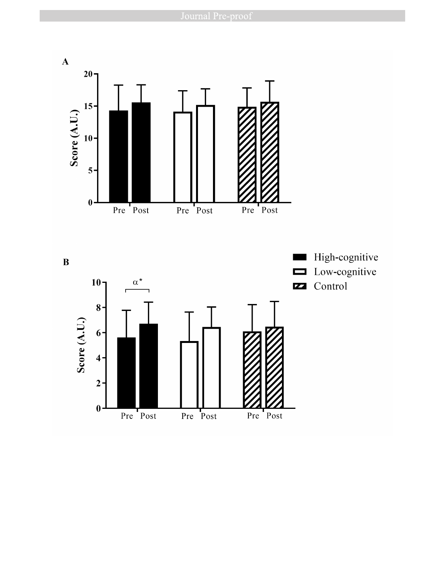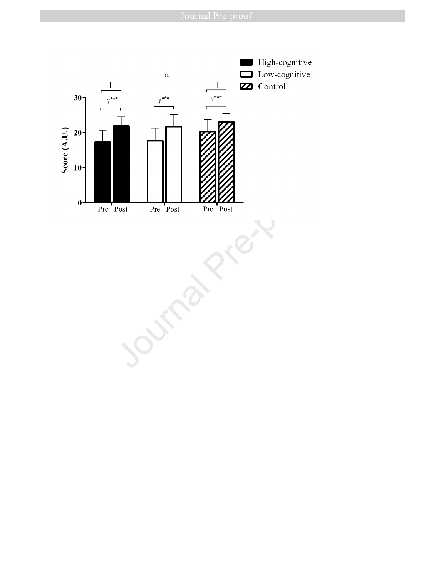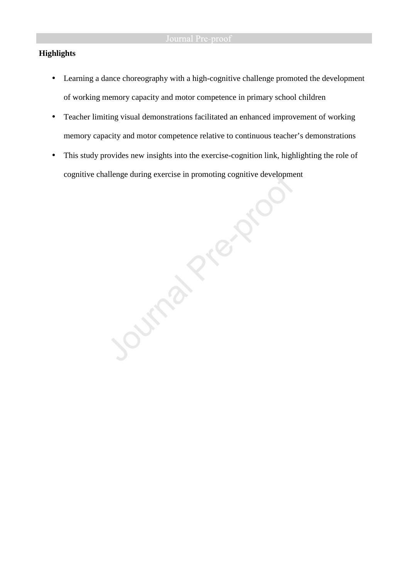# **Highlights**

- Learning a dance choreography with a high-cognitive challenge promoted the development of working memory capacity and motor competence in primary school children
- Teacher limiting visual demonstrations facilitated an enhanced improvement of working memory capacity and motor competence relative to continuous teacher's demonstrations
- cognitive challenge during exercise in promoting cognitive development

• This study provides new insights into the exercise-cognition link, highlighting the role of cognitive challenge during exercise in promoting cognitive development